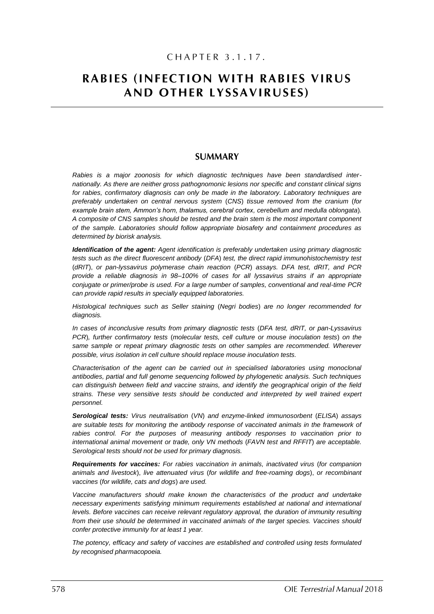# CHAPTER 3.1.17.

# **RABIES (INFECTION WITH RABIES VIRUS** AND OTHER LYSSAVIRUSES)

# **SUMMARY**

*Rabies is a major zoonosis for which diagnostic techniques have been standardised internationally. As there are neither gross pathognomonic lesions nor specific and constant clinical signs for rabies, confirmatory diagnosis can only be made in the laboratory. Laboratory techniques are preferably undertaken on central nervous system* (*CNS*) *tissue removed from the cranium* (*for example brain stem, Ammon's horn, thalamus, cerebral cortex, cerebellum and medulla oblongata*)*. A composite of CNS samples should be tested and the brain stem is the most important component of the sample. Laboratories should follow appropriate biosafety and containment procedures as determined by biorisk analysis.*

*Identification of the agent: Agent identification is preferably undertaken using primary diagnostic tests such as the direct fluorescent antibody* (*DFA*) *test, the direct rapid immunohistochemistry test* (*dRIT*), *or pan-lyssavirus polymerase chain reaction* (*PCR*) *assays. DFA test, dRIT, and PCR provide a reliable diagnosis in 98–100% of cases for all lyssavirus strains if an appropriate conjugate or primer/probe is used. For a large number of samples, conventional and real-time PCR can provide rapid results in specially equipped laboratories.*

*Histological techniques such as Seller staining* (*Negri bodies*) *are no longer recommended for diagnosis.* 

*In cases of inconclusive results from primary diagnostic tests* (*DFA test, dRIT, or pan-Lyssavirus PCR*)*, further confirmatory tests* (*molecular tests, cell culture or mouse inoculation tests*) *on the*  same sample or repeat primary diagnostic tests on other samples are recommended. Wherever *possible, virus isolation in cell culture should replace mouse inoculation tests.* 

*Characterisation of the agent can be carried out in specialised laboratories using monoclonal antibodies, partial and full genome sequencing followed by phylogenetic analysis. Such techniques can distinguish between field and vaccine strains, and identify the geographical origin of the field strains. These very sensitive tests should be conducted and interpreted by well trained expert personnel.* 

*Serological tests: Virus neutralisation* (*VN*) *and enzyme-linked immunosorbent* (*ELISA*) *assays are suitable tests for monitoring the antibody response of vaccinated animals in the framework of rabies control. For the purposes of measuring antibody responses to vaccination prior to international animal movement or trade, only VN methods* (*FAVN test and RFFIT*) *are acceptable. Serological tests should not be used for primary diagnosis.*

*Requirements for vaccines: For rabies vaccination in animals, inactivated virus* (*for companion animals and livestock*), *live attenuated virus* (*for wildlife and free-roaming dogs*), *or recombinant vaccines* (*for wildlife, cats and dogs*) *are used.* 

*Vaccine manufacturers should make known the characteristics of the product and undertake necessary experiments satisfying minimum requirements established at national and international levels. Before vaccines can receive relevant regulatory approval, the duration of immunity resulting from their use should be determined in vaccinated animals of the target species. Vaccines should confer protective immunity for at least 1 year.* 

*The potency, efficacy and safety of vaccines are established and controlled using tests formulated by recognised pharmacopoeia.*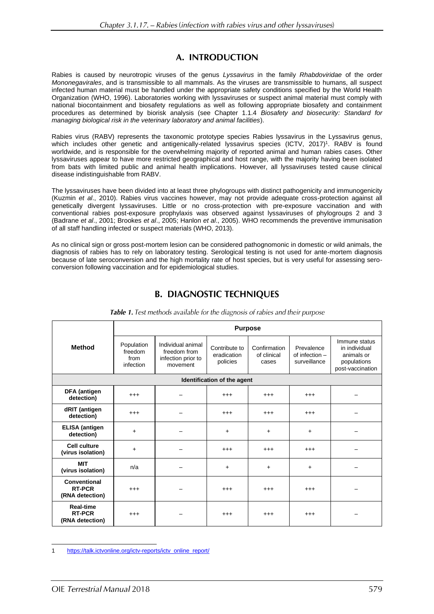# A. INTRODUCTION

Rabies is caused by neurotropic viruses of the genus *Lyssavirus* in the family *Rhabdoviridae* of the order *Mononegavirales*, and is transmissible to all mammals. As the viruses are transmissible to humans, all suspect infected human material must be handled under the appropriate safety conditions specified by the World Health Organization (WHO, 1996). Laboratories working with lyssaviruses or suspect animal material must comply with national biocontainment and biosafety regulations as well as following appropriate biosafety and containment procedures as determined by biorisk analysis (see Chapter 1.1.4 *Biosafety and biosecurity: Standard for managing biological risk in the veterinary laboratory and animal facilities*).

Rabies virus (RABV) represents the taxonomic prototype species Rabies lyssavirus in the Lyssavirus genus, which includes other genetic and antigenically-related lyssavirus species (ICTV, 2017)<sup>1</sup>. RABV is found worldwide, and is responsible for the overwhelming majority of reported animal and human rabies cases. Other lyssaviruses appear to have more restricted geographical and host range, with the majority having been isolated from bats with limited public and animal health implications. However, all lyssaviruses tested cause clinical disease indistinguishable from RABV.

The lyssaviruses have been divided into at least three phylogroups with distinct pathogenicity and immunogenicity (Kuzmin *et al*., 2010). Rabies virus vaccines however, may not provide adequate cross-protection against all genetically divergent lyssaviruses. Little or no cross-protection with pre-exposure vaccination and with conventional rabies post-exposure prophylaxis was observed against lyssaviruses of phylogroups 2 and 3 (Badrane *et al*., 2001; Brookes *et al*., 2005; Hanlon *et al*., 2005). WHO recommends the preventive immunisation of all staff handling infected or suspect materials (WHO, 2013).

As no clinical sign or gross post-mortem lesion can be considered pathognomonic in domestic or wild animals, the diagnosis of rabies has to rely on laboratory testing. Serological testing is not used for ante-mortem diagnosis because of late seroconversion and the high mortality rate of host species, but is very useful for assessing seroconversion following vaccination and for epidemiological studies.

|                                                      | <b>Purpose</b>                             |                                                                     |                                          |                                      |                                              |                                                                                 |
|------------------------------------------------------|--------------------------------------------|---------------------------------------------------------------------|------------------------------------------|--------------------------------------|----------------------------------------------|---------------------------------------------------------------------------------|
| <b>Method</b>                                        | Population<br>freedom<br>from<br>infection | Individual animal<br>freedom from<br>infection prior to<br>movement | Contribute to<br>eradication<br>policies | Confirmation<br>of clinical<br>cases | Prevalence<br>of infection -<br>surveillance | Immune status<br>in individual<br>animals or<br>populations<br>post-vaccination |
|                                                      |                                            |                                                                     | Identification of the agent              |                                      |                                              |                                                                                 |
| <b>DFA</b> (antigen<br>detection)                    | $^{+++}$                                   |                                                                     | $^{+++}$                                 | $^{+++}$                             | $^{+++}$                                     |                                                                                 |
| dRIT (antigen<br>detection)                          | $^{+++}$                                   |                                                                     | $^{+++}$                                 | $^{+++}$                             | $^{+++}$                                     |                                                                                 |
| <b>ELISA</b> (antigen<br>detection)                  | $\ddot{}$                                  |                                                                     | $\ddot{}$                                | $\ddot{}$                            | $\ddot{}$                                    |                                                                                 |
| <b>Cell culture</b><br>(virus isolation)             | $\ddot{}$                                  |                                                                     | $^{+++}$                                 | $^{+++}$                             | $^{+++}$                                     |                                                                                 |
| <b>MIT</b><br>(virus isolation)                      | n/a                                        |                                                                     | $+$                                      | $\ddot{}$                            | $\ddot{}$                                    |                                                                                 |
| Conventional<br><b>RT-PCR</b><br>(RNA detection)     | $^{+++}$                                   |                                                                     | $^{+++}$                                 | $^{+++}$                             | $^{+++}$                                     |                                                                                 |
| <b>Real-time</b><br><b>RT-PCR</b><br>(RNA detection) | $^{+++}$                                   |                                                                     | $^{+++}$                                 | $^{++}$                              | $^{+++}$                                     |                                                                                 |

Table 1. Test methods available for the diagnosis of rabies and their purpose

<sup>1</sup> [https://talk.ictvonline.org/ictv-reports/ictv\\_online\\_report/](https://talk.ictvonline.org/ictv-reports/ictv_online_report/)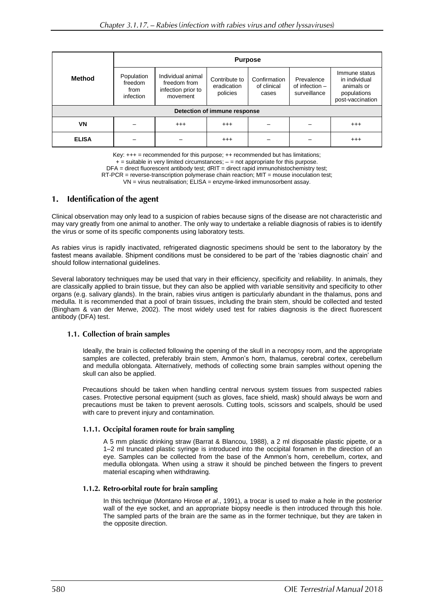|                              | <b>Purpose</b>                             |                                                                     |                                          |                                      |                                                |                                                                                 |
|------------------------------|--------------------------------------------|---------------------------------------------------------------------|------------------------------------------|--------------------------------------|------------------------------------------------|---------------------------------------------------------------------------------|
| Method                       | Population<br>freedom<br>from<br>infection | Individual animal<br>freedom from<br>infection prior to<br>movement | Contribute to<br>eradication<br>policies | Confirmation<br>of clinical<br>cases | Prevalence<br>of infection $-$<br>surveillance | Immune status<br>in individual<br>animals or<br>populations<br>post-vaccination |
| Detection of immune response |                                            |                                                                     |                                          |                                      |                                                |                                                                                 |
| VN                           |                                            | $^{+++}$                                                            | $^{+++}$                                 |                                      |                                                | $^{+++}$                                                                        |
| <b>ELISA</b>                 |                                            |                                                                     | $^{+++}$                                 |                                      |                                                | $^{+++}$                                                                        |

Key:  $+++$  = recommended for this purpose;  $++$  recommended but has limitations;

 $+$  = suitable in very limited circumstances;  $-$  = not appropriate for this purpose.

DFA = direct fluorescent antibody test; dRIT = direct rapid immunohistochemistry test;

RT-PCR = reverse-transcription polymerase chain reaction; MIT = mouse inoculation test;

VN = virus neutralisation; ELISA = enzyme-linked immunosorbent assay.

#### Identification of the agent  $\mathbf{1}$ .

Clinical observation may only lead to a suspicion of rabies because signs of the disease are not characteristic and may vary greatly from one animal to another. The only way to undertake a reliable diagnosis of rabies is to identify the virus or some of its specific components using laboratory tests.

As rabies virus is rapidly inactivated, refrigerated diagnostic specimens should be sent to the laboratory by the fastest means available. Shipment conditions must be considered to be part of the 'rabies diagnostic chain' and should follow international guidelines.

Several laboratory techniques may be used that vary in their efficiency, specificity and reliability. In animals, they are classically applied to brain tissue, but they can also be applied with variable sensitivity and specificity to other organs (e.g. salivary glands). In the brain, rabies virus antigen is particularly abundant in the thalamus, pons and medulla. It is recommended that a pool of brain tissues, including the brain stem, should be collected and tested (Bingham & van der Merwe, 2002). The most widely used test for rabies diagnosis is the direct fluorescent antibody (DFA) test.

### 1.1. Collection of brain samples

Ideally, the brain is collected following the opening of the skull in a necropsy room, and the appropriate samples are collected, preferably brain stem, Ammon's horn, thalamus, cerebral cortex, cerebellum and medulla oblongata. Alternatively, methods of collecting some brain samples without opening the skull can also be applied.

Precautions should be taken when handling central nervous system tissues from suspected rabies cases. Protective personal equipment (such as gloves, face shield, mask) should always be worn and precautions must be taken to prevent aerosols. Cutting tools, scissors and scalpels, should be used with care to prevent injury and contamination.

### 1.1.1. Occipital foramen route for brain sampling

A 5 mm plastic drinking straw (Barrat & Blancou, 1988), a 2 ml disposable plastic pipette, or a 1–2 ml truncated plastic syringe is introduced into the occipital foramen in the direction of an eye. Samples can be collected from the base of the Ammon's horn, cerebellum, cortex, and medulla oblongata. When using a straw it should be pinched between the fingers to prevent material escaping when withdrawing.

### 1.1.2. Retro-orbital route for brain sampling

In this technique (Montano Hirose *et al*., 1991), a trocar is used to make a hole in the posterior wall of the eye socket, and an appropriate biopsy needle is then introduced through this hole. The sampled parts of the brain are the same as in the former technique, but they are taken in the opposite direction.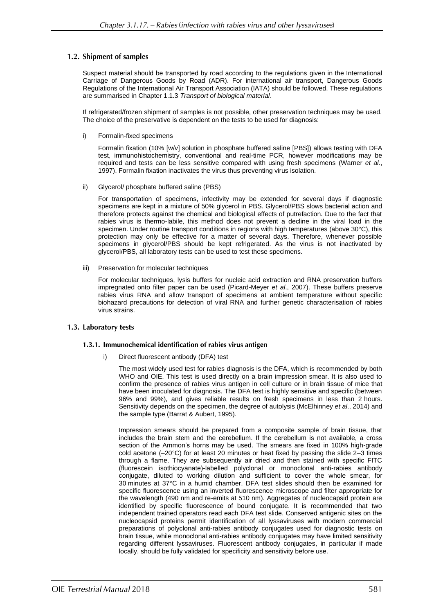# 1.2. Shipment of samples

Suspect material should be transported by road according to the regulations given in the International Carriage of Dangerous Goods by Road (ADR). For international air transport, Dangerous Goods Regulations of the International Air Transport Association (IATA) should be followed. These regulations are summarised in Chapter 1.1.3 *Transport of biological material*.

If refrigerated/frozen shipment of samples is not possible, other preservation techniques may be used. The choice of the preservative is dependent on the tests to be used for diagnosis:

i) Formalin-fixed specimens

Formalin fixation (10% [w/v] solution in phosphate buffered saline [PBS]) allows testing with DFA test, immunohistochemistry, conventional and real-time PCR, however modifications may be required and tests can be less sensitive compared with using fresh specimens (Warner *et al*., 1997). Formalin fixation inactivates the virus thus preventing virus isolation.

ii) Glycerol/ phosphate buffered saline (PBS)

For transportation of specimens, infectivity may be extended for several days if diagnostic specimens are kept in a mixture of 50% glycerol in PBS. Glycerol/PBS slows bacterial action and therefore protects against the chemical and biological effects of putrefaction. Due to the fact that rabies virus is thermo-labile, this method does not prevent a decline in the viral load in the specimen. Under routine transport conditions in regions with high temperatures (above 30°C), this protection may only be effective for a matter of several days. Therefore, whenever possible specimens in glycerol/PBS should be kept refrigerated. As the virus is not inactivated by glycerol/PBS, all laboratory tests can be used to test these specimens.

iii) Preservation for molecular techniques

For molecular techniques, lysis buffers for nucleic acid extraction and RNA preservation buffers impregnated onto filter paper can be used (Picard-Meyer *et al*., 2007). These buffers preserve rabies virus RNA and allow transport of specimens at ambient temperature without specific biohazard precautions for detection of viral RNA and further genetic characterisation of rabies virus strains.

### 1.3. Laboratory tests

### 1.3.1. Immunochemical identification of rabies virus antigen

i) Direct fluorescent antibody (DFA) test

The most widely used test for rabies diagnosis is the DFA, which is recommended by both WHO and OIE. This test is used directly on a brain impression smear. It is also used to confirm the presence of rabies virus antigen in cell culture or in brain tissue of mice that have been inoculated for diagnosis. The DFA test is highly sensitive and specific (between 96% and 99%), and gives reliable results on fresh specimens in less than 2 hours. Sensitivity depends on the specimen, the degree of autolysis (McElhinney *et al*., 2014) and the sample type (Barrat & Aubert, 1995).

Impression smears should be prepared from a composite sample of brain tissue, that includes the brain stem and the cerebellum. If the cerebellum is not available, a cross section of the Ammon's horns may be used. The smears are fixed in 100% high-grade cold acetone (–20°C) for at least 20 minutes or heat fixed by passing the slide 2–3 times through a flame. They are subsequently air dried and then stained with specific FITC (fluorescein isothiocyanate)-labelled polyclonal or monoclonal anti-rabies antibody conjugate, diluted to working dilution and sufficient to cover the whole smear, for 30 minutes at 37°C in a humid chamber. DFA test slides should then be examined for specific fluorescence using an inverted fluorescence microscope and filter appropriate for the wavelength (490 nm and re-emits at 510 nm). Aggregates of nucleocapsid protein are identified by specific fluorescence of bound conjugate. It is recommended that two independent trained operators read each DFA test slide. Conserved antigenic sites on the nucleocapsid proteins permit identification of all lyssaviruses with modern commercial preparations of polyclonal anti-rabies antibody conjugates used for diagnostic tests on brain tissue, while monoclonal anti-rabies antibody conjugates may have limited sensitivity regarding different lyssaviruses. Fluorescent antibody conjugates, in particular if made locally, should be fully validated for specificity and sensitivity before use.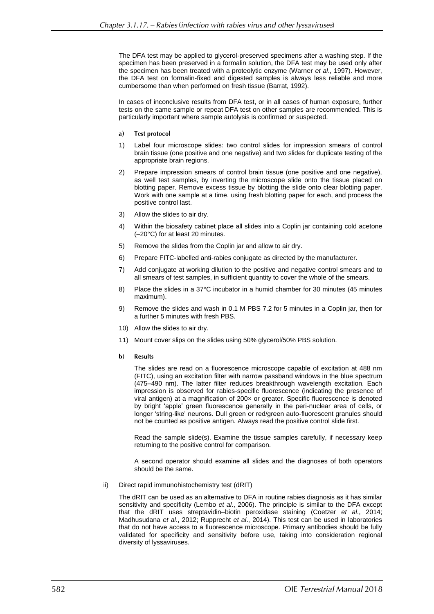The DFA test may be applied to glycerol-preserved specimens after a washing step. If the specimen has been preserved in a formalin solution, the DFA test may be used only after the specimen has been treated with a proteolytic enzyme (Warner *et al*., 1997). However, the DFA test on formalin-fixed and digested samples is always less reliable and more cumbersome than when performed on fresh tissue (Barrat, 1992).

In cases of inconclusive results from DFA test, or in all cases of human exposure, further tests on the same sample or repeat DFA test on other samples are recommended. This is particularly important where sample autolysis is confirmed or suspected.

- $a)$ **Test protocol**
- 1) Label four microscope slides: two control slides for impression smears of control brain tissue (one positive and one negative) and two slides for duplicate testing of the appropriate brain regions.
- 2) Prepare impression smears of control brain tissue (one positive and one negative), as well test samples, by inverting the microscope slide onto the tissue placed on blotting paper. Remove excess tissue by blotting the slide onto clear blotting paper. Work with one sample at a time, using fresh blotting paper for each, and process the positive control last.
- 3) Allow the slides to air dry.
- 4) Within the biosafety cabinet place all slides into a Coplin jar containing cold acetone (–20°C) for at least 20 minutes.
- 5) Remove the slides from the Coplin jar and allow to air dry.
- 6) Prepare FITC-labelled anti-rabies conjugate as directed by the manufacturer.
- 7) Add conjugate at working dilution to the positive and negative control smears and to all smears of test samples, in sufficient quantity to cover the whole of the smears.
- 8) Place the slides in a 37°C incubator in a humid chamber for 30 minutes (45 minutes maximum).
- 9) Remove the slides and wash in 0.1 M PBS 7.2 for 5 minutes in a Coplin jar, then for a further 5 minutes with fresh PBS.
- 10) Allow the slides to air dry.
- 11) Mount cover slips on the slides using 50% glycerol/50% PBS solution.
- $h)$ **Results**

The slides are read on a fluorescence microscope capable of excitation at 488 nm (FITC), using an excitation filter with narrow passband windows in the blue spectrum (475–490 nm). The latter filter reduces breakthrough wavelength excitation. Each impression is observed for rabies-specific fluorescence (indicating the presence of viral antigen) at a magnification of 200× or greater. Specific fluorescence is denoted by bright 'apple' green fluorescence generally in the peri-nuclear area of cells, or longer 'string-like' neurons. Dull green or red/green auto-fluorescent granules should not be counted as positive antigen. Always read the positive control slide first.

Read the sample slide(s). Examine the tissue samples carefully, if necessary keep returning to the positive control for comparison.

A second operator should examine all slides and the diagnoses of both operators should be the same.

ii) Direct rapid immunohistochemistry test (dRIT)

The dRIT can be used as an alternative to DFA in routine rabies diagnosis as it has similar sensitivity and specificity (Lembo *et al*., 2006). The principle is similar to the DFA except that the dRIT uses streptavidin–biotin peroxidase staining (Coetzer *et al*., 2014; Madhusudana *et al*., 2012; Rupprecht *et al*., 2014). This test can be used in laboratories that do not have access to a fluorescence microscope. Primary antibodies should be fully validated for specificity and sensitivity before use, taking into consideration regional diversity of lyssaviruses.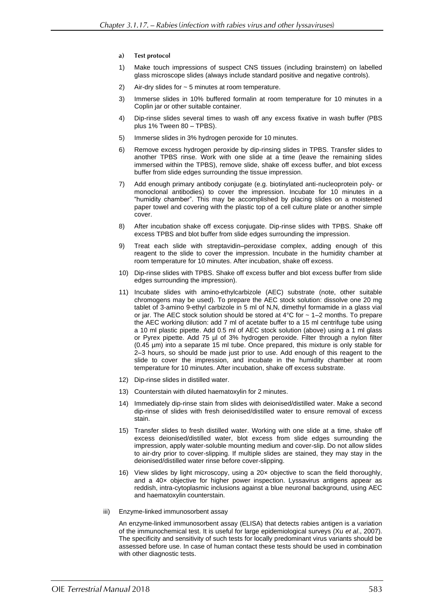- $a)$ **Test protocol**
- 1) Make touch impressions of suspect CNS tissues (including brainstem) on labelled glass microscope slides (always include standard positive and negative controls).
- 2) Air-dry slides for ~ 5 minutes at room temperature.
- 3) Immerse slides in 10% buffered formalin at room temperature for 10 minutes in a Coplin jar or other suitable container.
- 4) Dip-rinse slides several times to wash off any excess fixative in wash buffer (PBS plus 1% Tween 80 – TPBS).
- 5) Immerse slides in 3% hydrogen peroxide for 10 minutes.
- 6) Remove excess hydrogen peroxide by dip-rinsing slides in TPBS. Transfer slides to another TPBS rinse. Work with one slide at a time (leave the remaining slides immersed within the TPBS), remove slide, shake off excess buffer, and blot excess buffer from slide edges surrounding the tissue impression.
- 7) Add enough primary antibody conjugate (e.g. biotinylated anti-nucleoprotein poly- or monoclonal antibodies) to cover the impression. Incubate for 10 minutes in a "humidity chamber". This may be accomplished by placing slides on a moistened paper towel and covering with the plastic top of a cell culture plate or another simple cover.
- 8) After incubation shake off excess conjugate. Dip-rinse slides with TPBS. Shake off excess TPBS and blot buffer from slide edges surrounding the impression.
- 9) Treat each slide with streptavidin–peroxidase complex, adding enough of this reagent to the slide to cover the impression. Incubate in the humidity chamber at room temperature for 10 minutes. After incubation, shake off excess.
- 10) Dip-rinse slides with TPBS. Shake off excess buffer and blot excess buffer from slide edges surrounding the impression).
- 11) Incubate slides with amino-ethylcarbizole (AEC) substrate (note, other suitable chromogens may be used). To prepare the AEC stock solution: dissolve one 20 mg tablet of 3-amino 9-ethyl carbizole in 5 ml of N,N, dimethyl formamide in a glass vial or jar. The AEC stock solution should be stored at  $4^{\circ}$ C for  $\sim$  1-2 months. To prepare the AEC working dilution: add 7 ml of acetate buffer to a 15 ml centrifuge tube using a 10 ml plastic pipette. Add 0.5 ml of AEC stock solution (above) using a 1 ml glass or Pyrex pipette. Add 75 µl of 3% hydrogen peroxide. Filter through a nylon filter (0.45 µm) into a separate 15 ml tube. Once prepared, this mixture is only stable for 2–3 hours, so should be made just prior to use. Add enough of this reagent to the slide to cover the impression, and incubate in the humidity chamber at room temperature for 10 minutes. After incubation, shake off excess substrate.
- 12) Dip-rinse slides in distilled water.
- 13) Counterstain with diluted haematoxylin for 2 minutes.
- 14) Immediately dip-rinse stain from slides with deionised/distilled water. Make a second dip-rinse of slides with fresh deionised/distilled water to ensure removal of excess stain.
- 15) Transfer slides to fresh distilled water. Working with one slide at a time, shake off excess deionised/distilled water, blot excess from slide edges surrounding the impression, apply water-soluble mounting medium and cover-slip. Do not allow slides to air-dry prior to cover-slipping. If multiple slides are stained, they may stay in the deionised/distilled water rinse before cover-slipping.
- 16) View slides by light microscopy, using a 20× objective to scan the field thoroughly, and a 40× objective for higher power inspection. Lyssavirus antigens appear as reddish, intra-cytoplasmic inclusions against a blue neuronal background, using AEC and haematoxylin counterstain.
- iii) Enzyme-linked immunosorbent assay

An enzyme-linked immunosorbent assay (ELISA) that detects rabies antigen is a variation of the immunochemical test. It is useful for large epidemiological surveys (Xu *et al*., 2007). The specificity and sensitivity of such tests for locally predominant virus variants should be assessed before use. In case of human contact these tests should be used in combination with other diagnostic tests.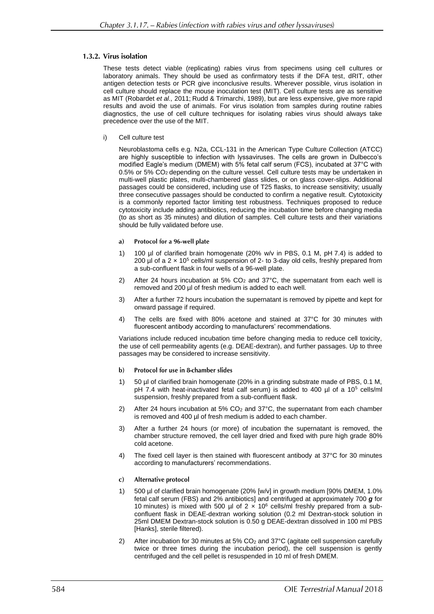# 1.3.2. Virus isolation

These tests detect viable (replicating) rabies virus from specimens using cell cultures or laboratory animals. They should be used as confirmatory tests if the DFA test, dRIT, other antigen detection tests or PCR give inconclusive results. Wherever possible, virus isolation in cell culture should replace the mouse inoculation test (MIT). Cell culture tests are as sensitive as MIT (Robardet *et al.,* 2011; Rudd & Trimarchi, 1989), but are less expensive, give more rapid results and avoid the use of animals. For virus isolation from samples during routine rabies diagnostics, the use of cell culture techniques for isolating rabies virus should always take precedence over the use of the MIT.

i) Cell culture test

Neuroblastoma cells e.g. N2a, CCL-131 in the American Type Culture Collection (ATCC) are highly susceptible to infection with lyssaviruses. The cells are grown in Dulbecco's modified Eagle's medium (DMEM) with 5% fetal calf serum (FCS), incubated at 37°C with 0.5% or 5% CO<sup>2</sup> depending on the culture vessel. Cell culture tests may be undertaken in multi-well plastic plates, multi-chambered glass slides, or on glass cover-slips. Additional passages could be considered, including use of T25 flasks, to increase sensitivity; usually three consecutive passages should be conducted to confirm a negative result. Cytotoxicity is a commonly reported factor limiting test robustness. Techniques proposed to reduce cytotoxicity include adding antibiotics, reducing the incubation time before changing media (to as short as 35 minutes) and dilution of samples. Cell culture tests and their variations should be fully validated before use.

#### Protocol for a 96-well plate a)

- 1) 100 µl of clarified brain homogenate (20% w/v in PBS, 0.1 M, pH 7.4) is added to 200 µl of a 2  $\times$  10<sup>5</sup> cells/ml suspension of 2- to 3-day old cells, freshly prepared from a sub-confluent flask in four wells of a 96-well plate.
- 2) After 24 hours incubation at 5%  $CO<sub>2</sub>$  and 37°C, the supernatant from each well is removed and 200 µl of fresh medium is added to each well.
- 3) After a further 72 hours incubation the supernatant is removed by pipette and kept for onward passage if required.
- 4) The cells are fixed with 80% acetone and stained at 37°C for 30 minutes with fluorescent antibody according to manufacturers' recommendations.

Variations include reduced incubation time before changing media to reduce cell toxicity, the use of cell permeability agents (e.g. DEAE-dextran), and further passages. Up to three passages may be considered to increase sensitivity.

- $\mathbf{b}$ Protocol for use in 8-chamber slides
- 1) 50 µl of clarified brain homogenate (20% in a grinding substrate made of PBS, 0.1 M, pH 7.4 with heat-inactivated fetal calf serum) is added to 400  $\mu$ l of a 10<sup>5</sup> cells/ml suspension, freshly prepared from a sub-confluent flask.
- 2) After 24 hours incubation at 5%  $CO<sub>2</sub>$  and 37°C, the supernatant from each chamber is removed and 400 µl of fresh medium is added to each chamber.
- 3) After a further 24 hours (or more) of incubation the supernatant is removed, the chamber structure removed, the cell layer dried and fixed with pure high grade 80% cold acetone.
- 4) The fixed cell layer is then stained with fluorescent antibody at 37°C for 30 minutes according to manufacturers' recommendations.
- Alternative protocol  $\mathbf{c}$
- 1) 500 µl of clarified brain homogenate (20% [w/v] in growth medium [90% DMEM, 1.0% fetal calf serum (FBS) and 2% antibiotics] and centrifuged at approximately 700 *g* for 10 minutes) is mixed with 500 µl of  $2 \times 10^6$  cells/ml freshly prepared from a subconfluent flask in DEAE-dextran working solution (0.2 ml Dextran-stock solution in 25ml DMEM Dextran-stock solution is 0.50 g DEAE-dextran dissolved in 100 ml PBS [Hanks], sterile filtered).
- 2) After incubation for 30 minutes at  $5\%$  CO<sub>2</sub> and  $37^{\circ}$ C (agitate cell suspension carefully twice or three times during the incubation period), the cell suspension is gently centrifuged and the cell pellet is resuspended in 10 ml of fresh DMEM.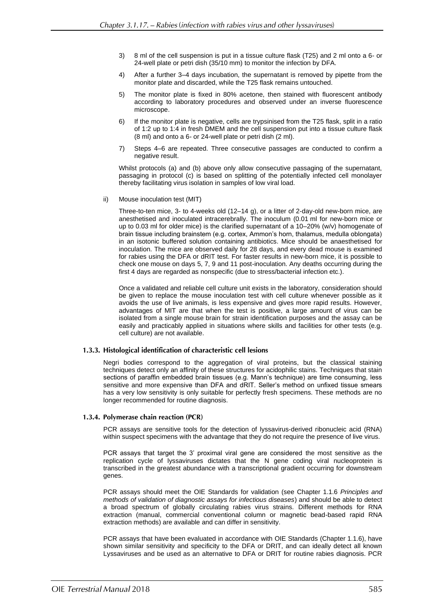- 3) 8 ml of the cell suspension is put in a tissue culture flask (T25) and 2 ml onto a 6- or 24-well plate or petri dish (35/10 mm) to monitor the infection by DFA.
- 4) After a further 3–4 days incubation, the supernatant is removed by pipette from the monitor plate and discarded, while the T25 flask remains untouched.
- 5) The monitor plate is fixed in 80% acetone, then stained with fluorescent antibody according to laboratory procedures and observed under an inverse fluorescence microscope.
- 6) If the monitor plate is negative, cells are trypsinised from the T25 flask, split in a ratio of 1:2 up to 1:4 in fresh DMEM and the cell suspension put into a tissue culture flask (8 ml) and onto a 6- or 24-well plate or petri dish (2 ml).
- 7) Steps 4–6 are repeated. Three consecutive passages are conducted to confirm a negative result.

Whilst protocols (a) and (b) above only allow consecutive passaging of the supernatant, passaging in protocol (c) is based on splitting of the potentially infected cell monolayer thereby facilitating virus isolation in samples of low viral load.

ii) Mouse inoculation test (MIT)

Three-to-ten mice, 3- to 4-weeks old (12–14 g), or a litter of 2-day-old new-born mice, are anesthetised and inoculated intracerebrally. The inoculum (0.01 ml for new-born mice or up to 0.03 ml for older mice) is the clarified supernatant of a 10–20% (w/v) homogenate of brain tissue including brainstem (e.g. cortex, Ammon's horn, thalamus, medulla oblongata) in an isotonic buffered solution containing antibiotics. Mice should be anaesthetised for inoculation. The mice are observed daily for 28 days, and every dead mouse is examined for rabies using the DFA or dRIT test. For faster results in new-born mice, it is possible to check one mouse on days 5, 7, 9 and 11 post-inoculation. Any deaths occurring during the first 4 days are regarded as nonspecific (due to stress/bacterial infection etc.).

Once a validated and reliable cell culture unit exists in the laboratory, consideration should be given to replace the mouse inoculation test with cell culture whenever possible as it avoids the use of live animals, is less expensive and gives more rapid results. However, advantages of MIT are that when the test is positive, a large amount of virus can be isolated from a single mouse brain for strain identification purposes and the assay can be easily and practicably applied in situations where skills and facilities for other tests (e.g. cell culture) are not available.

### 1.3.3. Histological identification of characteristic cell lesions

Negri bodies correspond to the aggregation of viral proteins, but the classical staining techniques detect only an affinity of these structures for acidophilic stains. Techniques that stain sections of paraffin embedded brain tissues (e.g. Mann's technique) are time consuming, less sensitive and more expensive than DFA and dRIT. Seller's method on unfixed tissue smears has a very low sensitivity is only suitable for perfectly fresh specimens. These methods are no longer recommended for routine diagnosis.

### 1.3.4. Polymerase chain reaction (PCR)

PCR assays are sensitive tools for the detection of lyssavirus-derived ribonucleic acid (RNA) within suspect specimens with the advantage that they do not require the presence of live virus.

PCR assays that target the 3' proximal viral gene are considered the most sensitive as the replication cycle of lyssaviruses dictates that the N gene coding viral nucleoprotein is transcribed in the greatest abundance with a transcriptional gradient occurring for downstream genes.

PCR assays should meet the OIE Standards for validation (see Chapter 1.1.6 *Principles and methods of validation of diagnostic assays for infectious diseases*) and should be able to detect a broad spectrum of globally circulating rabies virus strains. Different methods for RNA extraction (manual, commercial conventional column or magnetic bead-based rapid RNA extraction methods) are available and can differ in sensitivity.

PCR assays that have been evaluated in accordance with OIE Standards (Chapter 1.1.6), have shown similar sensitivity and specificity to the DFA or DRIT, and can ideally detect all known Lyssaviruses and be used as an alternative to DFA or DRIT for routine rabies diagnosis. PCR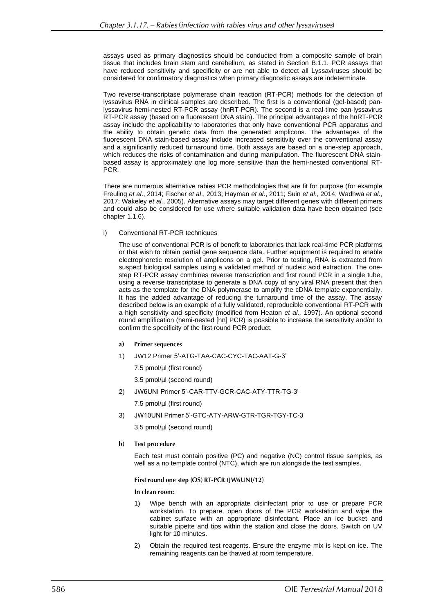assays used as primary diagnostics should be conducted from a composite sample of brain tissue that includes brain stem and cerebellum, as stated in Section B.1.1. PCR assays that have reduced sensitivity and specificity or are not able to detect all Lyssaviruses should be considered for confirmatory diagnostics when primary diagnostic assays are indeterminate.

Two reverse-transcriptase polymerase chain reaction (RT-PCR) methods for the detection of lyssavirus RNA in clinical samples are described. The first is a conventional (gel-based) panlyssavirus hemi-nested RT-PCR assay (hnRT-PCR). The second is a real-time pan-lyssavirus RT-PCR assay (based on a fluorescent DNA stain). The principal advantages of the hnRT-PCR assay include the applicability to laboratories that only have conventional PCR apparatus and the ability to obtain genetic data from the generated amplicons. The advantages of the fluorescent DNA stain-based assay include increased sensitivity over the conventional assay and a significantly reduced turnaround time. Both assays are based on a one-step approach, which reduces the risks of contamination and during manipulation. The fluorescent DNA stainbased assay is approximately one log more sensitive than the hemi-nested conventional RT-PCR.

There are numerous alternative rabies PCR methodologies that are fit for purpose (for example Freuling *et al*., 2014; Fischer *et al*., 2013; Hayman *et al*., 2011; Suin *et al*., 2014; Wadhwa *et al*., 2017; Wakeley *et al*., 2005). Alternative assays may target different genes with different primers and could also be considered for use where suitable validation data have been obtained (see chapter 1.1.6).

i) Conventional RT-PCR techniques

The use of conventional PCR is of benefit to laboratories that lack real-time PCR platforms or that wish to obtain partial gene sequence data. Further equipment is required to enable electrophoretic resolution of amplicons on a gel. Prior to testing, RNA is extracted from suspect biological samples using a validated method of nucleic acid extraction. The onestep RT-PCR assay combines reverse transcription and first round PCR in a single tube, using a reverse transcriptase to generate a DNA copy of any viral RNA present that then acts as the template for the DNA polymerase to amplify the cDNA template exponentially. It has the added advantage of reducing the turnaround time of the assay. The assay described below is an example of a fully validated, reproducible conventional RT-PCR with a high sensitivity and specificity (modified from Heaton *et al.,* 1997). An optional second round amplification (hemi-nested [hn] PCR) is possible to increase the sensitivity and/or to confirm the specificity of the first round PCR product.

- **Primer sequences** a)
- 1) JW12 Primer 5'-ATG-TAA-CAC-CYC-TAC-AAT-G-3'
	- 7.5 pmol/µl (first round)
	- 3.5 pmol/µl (second round)
- 2) JW6UNI Primer 5'-CAR-TTV-GCR-CAC-ATY-TTR-TG-3'

7.5 pmol/µl (first round)

3) JW10UNI Primer 5'-GTC-ATY-ARW-GTR-TGR-TGY-TC-3'

3.5 pmol/µl (second round)

 $\mathbf{b}$ **Test procedure** 

> Each test must contain positive (PC) and negative (NC) control tissue samples, as well as a no template control (NTC), which are run alongside the test samples.

### First round one step (OS) RT-PCR (JW6UNI/12)

In clean room:

- 1) Wipe bench with an appropriate disinfectant prior to use or prepare PCR workstation. To prepare, open doors of the PCR workstation and wipe the cabinet surface with an appropriate disinfectant. Place an ice bucket and suitable pipette and tips within the station and close the doors. Switch on UV light for 10 minutes.
- 2) Obtain the required test reagents. Ensure the enzyme mix is kept on ice. The remaining reagents can be thawed at room temperature.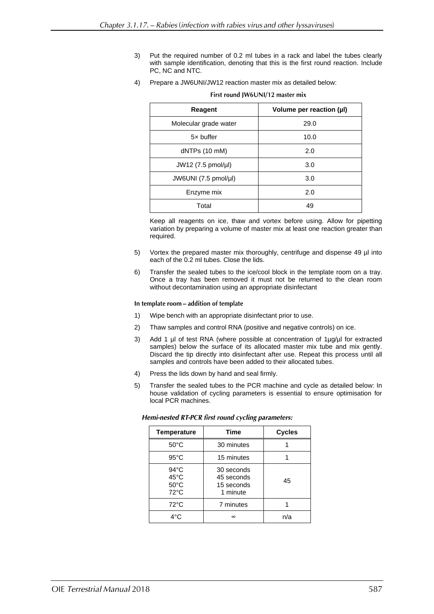- 3) Put the required number of 0.2 ml tubes in a rack and label the tubes clearly with sample identification, denoting that this is the first round reaction. Include PC, NC and NTC.
- 4) Prepare a JW6UNI/JW12 reaction master mix as detailed below:

| Reagent                       | Volume per reaction (µl) |
|-------------------------------|--------------------------|
| Molecular grade water         | 29.0                     |
| 5x buffer                     | 10.0                     |
| dNTPs (10 mM)                 | 2.0                      |
| $JW12$ (7.5 pmol/µl)          | 3.0                      |
| JW6UNI $(7.5 \text{ pmol/µI)$ | 3.0                      |
| Enzyme mix                    | 2.0                      |
| Total                         | 49                       |

### First round IW6UNI/12 master mix

Keep all reagents on ice, thaw and vortex before using. Allow for pipetting variation by preparing a volume of master mix at least one reaction greater than required.

- 5) Vortex the prepared master mix thoroughly, centrifuge and dispense 49 µl into each of the 0.2 ml tubes. Close the lids.
- 6) Transfer the sealed tubes to the ice/cool block in the template room on a tray. Once a tray has been removed it must not be returned to the clean room without decontamination using an appropriate disinfectant

In template room - addition of template

- 1) Wipe bench with an appropriate disinfectant prior to use.
- 2) Thaw samples and control RNA (positive and negative controls) on ice.
- 3) Add 1 µl of test RNA (where possible at concentration of 1µg/µl for extracted samples) below the surface of its allocated master mix tube and mix gently. Discard the tip directly into disinfectant after use. Repeat this process until all samples and controls have been added to their allocated tubes.
- 4) Press the lids down by hand and seal firmly.
- 5) Transfer the sealed tubes to the PCR machine and cycle as detailed below: In house validation of cycling parameters is essential to ensure optimisation for local PCR machines.

| <b>Temperature</b>                                                   | <b>Time</b>                                        | <b>Cycles</b> |
|----------------------------------------------------------------------|----------------------------------------------------|---------------|
| $50^{\circ}$ C                                                       | 30 minutes                                         |               |
| $95^{\circ}$ C                                                       | 15 minutes                                         |               |
| $94^{\circ}$ C<br>$45^{\circ}$ C<br>$50^{\circ}$ C<br>$72^{\circ}$ C | 30 seconds<br>45 seconds<br>15 seconds<br>1 minute | 45            |
| $72^{\circ}$ C                                                       | 7 minutes                                          |               |
| $4^{\circ}$ C                                                        | $\infty$                                           | n/a           |

Hemi-nested RT-PCR first round cycling parameters: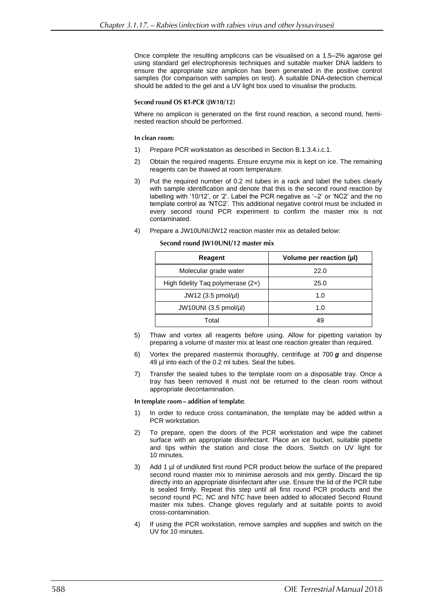Once complete the resulting amplicons can be visualised on a 1.5–2% agarose gel using standard gel electrophoresis techniques and suitable marker DNA ladders to ensure the appropriate size amplicon has been generated in the positive control samples (for comparison with samples on test). A suitable DNA-detection chemical should be added to the gel and a UV light box used to visualise the products.

### Second round OS RT-PCR (IW10/12)

Where no amplicon is generated on the first round reaction, a second round, heminested reaction should be performed.

### In clean room:

- 1) Prepare PCR workstation as described in Section B.1.3.4.i.c.1.
- 2) Obtain the required reagents. Ensure enzyme mix is kept on ice. The remaining reagents can be thawed at room temperature.
- 3) Put the required number of 0.2 ml tubes in a rack and label the tubes clearly with sample identification and denote that this is the second round reaction by labelling with '10/12', or '2'. Label the PCR negative as '–2' or 'NC2' and the no template control as 'NTC2'. This additional negative control must be included in every second round PCR experiment to confirm the master mix is not contaminated.
- 4) Prepare a JW10UNI/JW12 reaction master mix as detailed below:

### Second round JW10UNI/12 master mix

| Reagent                             | Volume per reaction (µl) |
|-------------------------------------|--------------------------|
| Molecular grade water               | 22.0                     |
| High fidelity Tag polymerase $(2x)$ | 25.0                     |
| $JW12$ (3.5 pmol/µl)                | 1.0                      |
| JW10UNI (3.5 pmol/µl)               | 1.0                      |
| Total                               | 49                       |

- 5) Thaw and vortex all reagents before using. Allow for pipetting variation by preparing a volume of master mix at least one reaction greater than required.
- 6) Vortex the prepared mastermix thoroughly, centrifuge at 700 *g* and dispense 49 µl into each of the 0.2 ml tubes. Seal the tubes.
- 7) Transfer the sealed tubes to the template room on a disposable tray. Once a tray has been removed it must not be returned to the clean room without appropriate decontamination.

### In template room - addition of template:

- 1) In order to reduce cross contamination, the template may be added within a PCR workstation.
- 2) To prepare, open the doors of the PCR workstation and wipe the cabinet surface with an appropriate disinfectant. Place an ice bucket, suitable pipette and tips within the station and close the doors. Switch on UV light for 10 minutes.
- 3) Add 1 µl of undiluted first round PCR product below the surface of the prepared second round master mix to minimise aerosols and mix gently. Discard the tip directly into an appropriate disinfectant after use. Ensure the lid of the PCR tube is sealed firmly. Repeat this step until all first round PCR products and the second round PC, NC and NTC have been added to allocated Second Round master mix tubes. Change gloves regularly and at suitable points to avoid cross-contamination.
- 4) If using the PCR workstation, remove samples and supplies and switch on the UV for 10 minutes.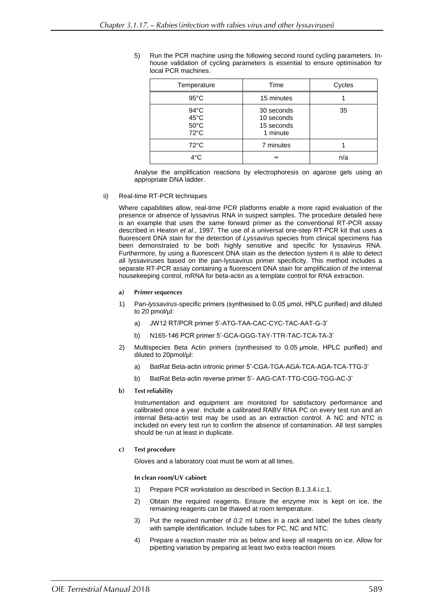5) Run the PCR machine using the following second round cycling parameters. Inhouse validation of cycling parameters is essential to ensure optimisation for local PCR machines.

| Temperature                                                | Time                                               | Cycles |
|------------------------------------------------------------|----------------------------------------------------|--------|
| $95^{\circ}$ C                                             | 15 minutes                                         |        |
| $94^{\circ}$ C<br>45°C<br>$50^{\circ}$ C<br>$72^{\circ}$ C | 30 seconds<br>10 seconds<br>15 seconds<br>1 minute | 35     |
| $72^{\circ}$ C                                             | 7 minutes                                          |        |
| $4^{\circ}$ C                                              | $\infty$                                           | n/a    |

Analyse the amplification reactions by electrophoresis on agarose gels using an appropriate DNA ladder.

ii) Real-time RT-PCR techniques

Where capabilities allow, real-time PCR platforms enable a more rapid evaluation of the presence or absence of lyssavirus RNA in suspect samples. The procedure detailed here is an example that uses the same forward primer as the conventional RT-PCR assay described in Heaton *et al*., 1997. The use of a universal one-step RT-PCR kit that uses a fluorescent DNA stain for the detection of *Lyssavirus* species from clinical specimens has been demonstrated to be both highly sensitive and specific for lyssavirus RNA. Furthermore, by using a fluorescent DNA stain as the detection system it is able to detect all lyssaviruses based on the pan-lyssavirus primer specificity. This method includes a separate RT-PCR assay containing a fluorescent DNA stain for amplification of the internal housekeeping control, mRNA for beta-actin as a template control for RNA extraction.

- **Primer sequences** a)
- 1) Pan-*lyssavirus*-specific primers (synthesised to 0.05 μmol, HPLC purified) and diluted to 20 pmol/µl:
	- a) JW12 RT/PCR primer 5'-ATG-TAA-CAC-CYC-TAC-AAT-G-3'
	- b) N165-146 PCR primer 5'-GCA-GGG-TAY-TTR-TAC-TCA-TA-3'
- 2) Multispecies Beta Actin primers (synthesised to 0.05 μmole, HPLC purified) and diluted to 20pmol/µl:
	- a) BatRat Beta-actin intronic primer 5'-CGA-TGA-AGA-TCA-AGA-TCA-TTG-3'
	- b) BatRat Beta-actin reverse primer 5'- AAG-CAT-TTG-CGG-TGG-AC-3'
- **Test reliability** b)

Instrumentation and equipment are monitored for satisfactory performance and calibrated once a year. Include a calibrated RABV RNA PC on every test run and an internal Beta-actin test may be used as an extraction control. A NC and NTC is included on every test run to confirm the absence of contamination. All test samples should be run at least in duplicate.

**Test procedure**  $\bf c)$ 

Gloves and a laboratory coat must be worn at all times.

In clean room/UV cabinet:

- 1) Prepare PCR workstation as described in Section B.1.3.4.i.c.1.
- 2) Obtain the required reagents. Ensure the enzyme mix is kept on ice, the remaining reagents can be thawed at room temperature.
- 3) Put the required number of 0.2 ml tubes in a rack and label the tubes clearly with sample identification. Include tubes for PC, NC and NTC.
- 4) Prepare a reaction master mix as below and keep all reagents on ice. Allow for pipetting variation by preparing at least two extra reaction mixes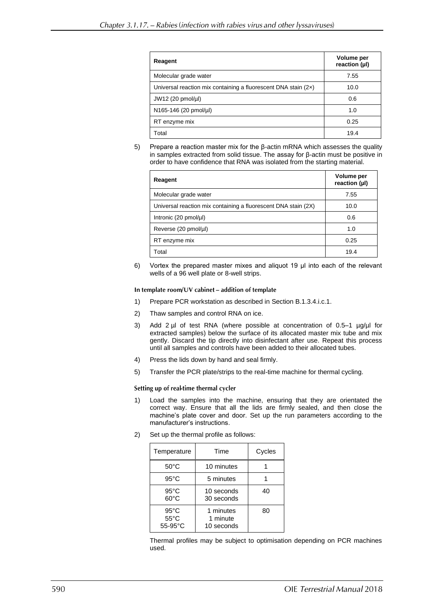| Reagent                                                          | Volume per<br>reaction (µl) |
|------------------------------------------------------------------|-----------------------------|
| Molecular grade water                                            | 7.55                        |
| Universal reaction mix containing a fluorescent DNA stain $(2x)$ | 10.0                        |
| JW12 (20 pmol/µl)                                                | 0.6                         |
| N165-146 (20 pmol/µl)                                            | 1.0                         |
| RT enzyme mix                                                    | 0.25                        |
| Total                                                            | 19.4                        |

5) Prepare a reaction master mix for the β-actin mRNA which assesses the quality in samples extracted from solid tissue. The assay for β-actin must be positive in order to have confidence that RNA was isolated from the starting material.

| Reagent                                                        | Volume per<br>reaction (µl) |
|----------------------------------------------------------------|-----------------------------|
| Molecular grade water                                          | 7.55                        |
| Universal reaction mix containing a fluorescent DNA stain (2X) | 10.0                        |
| Intronic $(20 \text{ pmol/}\mu\text{I})$                       | 0.6                         |
| Reverse (20 pmol/µl)                                           | 1.0                         |
| RT enzyme mix                                                  | 0.25                        |
| Total                                                          | 19.4                        |

6) Vortex the prepared master mixes and aliquot 19 μl into each of the relevant wells of a 96 well plate or 8-well strips.

### In template room/UV cabinet - addition of template

- 1) Prepare PCR workstation as described in Section B.1.3.4.i.c.1.
- 2) Thaw samples and control RNA on ice.
- 3) Add 2  $\mu$  of test RNA (where possible at concentration of 0.5–1  $\mu q/\mu$  for extracted samples) below the surface of its allocated master mix tube and mix gently. Discard the tip directly into disinfectant after use. Repeat this process until all samples and controls have been added to their allocated tubes.
- 4) Press the lids down by hand and seal firmly.
- 5) Transfer the PCR plate/strips to the real-time machine for thermal cycling.

### Setting up of real-time thermal cycler

- 1) Load the samples into the machine, ensuring that they are orientated the correct way. Ensure that all the lids are firmly sealed, and then close the machine's plate cover and door. Set up the run parameters according to the manufacturer's instructions.
- 2) Set up the thermal profile as follows:

| Time<br>Temperature                                   |                                     | Cycles |
|-------------------------------------------------------|-------------------------------------|--------|
| $50^{\circ}$ C                                        | 10 minutes                          |        |
| $95^{\circ}$ C                                        | 5 minutes                           |        |
| $95^{\circ}$ C<br>$60^{\circ}$ C                      | 10 seconds<br>30 seconds            | 40     |
| $95^{\circ}$ C<br>$55^{\circ}$ C<br>$55-95^{\circ}$ C | 1 minutes<br>1 minute<br>10 seconds | 80     |

Thermal profiles may be subject to optimisation depending on PCR machines used.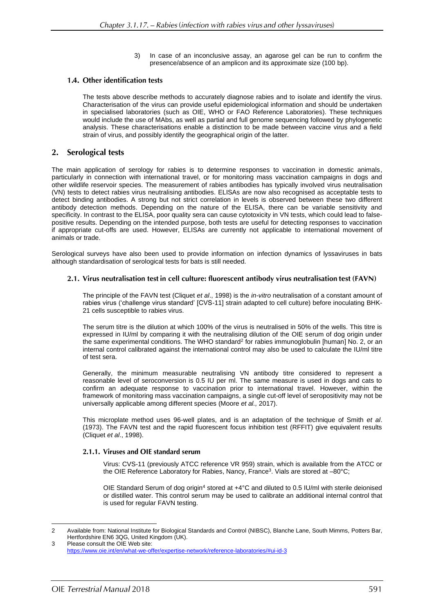3) In case of an inconclusive assay, an agarose gel can be run to confirm the presence/absence of an amplicon and its approximate size (100 bp).

### 1.4. Other identification tests

The tests above describe methods to accurately diagnose rabies and to isolate and identify the virus. Characterisation of the virus can provide useful epidemiological information and should be undertaken in specialised laboratories (such as OIE, WHO or FAO Reference Laboratories). These techniques would include the use of MAbs, as well as partial and full genome sequencing followed by phylogenetic analysis. These characterisations enable a distinction to be made between vaccine virus and a field strain of virus, and possibly identify the geographical origin of the latter.

#### **Serological tests**  $2.$

The main application of serology for rabies is to determine responses to vaccination in domestic animals, particularly in connection with international travel, or for monitoring mass vaccination campaigns in dogs and other wildlife reservoir species. The measurement of rabies antibodies has typically involved virus neutralisation (VN) tests to detect rabies virus neutralising antibodies. ELISAs are now also recognised as acceptable tests to detect binding antibodies. A strong but not strict correlation in levels is observed between these two different antibody detection methods. Depending on the nature of the ELISA, there can be variable sensitivity and specificity. In contrast to the ELISA, poor quality sera can cause cytotoxicity in VN tests, which could lead to falsepositive results. Depending on the intended purpose, both tests are useful for detecting responses to vaccination if appropriate cut-offs are used. However, ELISAs are currently not applicable to international movement of animals or trade.

Serological surveys have also been used to provide information on infection dynamics of lyssaviruses in bats although standardisation of serological tests for bats is still needed.

# 2.1. Virus neutralisation test in cell culture: fluorescent antibody virus neutralisation test (FAVN)

The principle of the FAVN test (Cliquet *et al*., 1998) is the *in-vitro* neutralisation of a constant amount of rabies virus ('challenge virus standard' [CVS-11] strain adapted to cell culture) before inoculating BHK-21 cells susceptible to rabies virus.

The serum titre is the dilution at which 100% of the virus is neutralised in 50% of the wells. This titre is expressed in IU/ml by comparing it with the neutralising dilution of the OIE serum of dog origin under the same experimental conditions. The WHO standard<sup>2</sup> for rabies immunoglobulin [human] No. 2, or an internal control calibrated against the international control may also be used to calculate the IU/ml titre of test sera.

Generally, the minimum measurable neutralising VN antibody titre considered to represent a reasonable level of seroconversion is 0.5 IU per ml. The same measure is used in dogs and cats to confirm an adequate response to vaccination prior to international travel. However, within the framework of monitoring mass vaccination campaigns, a single cut-off level of seropositivity may not be universally applicable among different species (Moore *et al.,* 2017).

This microplate method uses 96-well plates, and is an adaptation of the technique of Smith *et al*. (1973). The FAVN test and the rapid fluorescent focus inhibition test (RFFIT) give equivalent results (Cliquet *et al*., 1998).

### 2.1.1. Viruses and OIE standard serum

Virus: CVS-11 (previously ATCC reference VR 959) strain, which is available from the ATCC or the OIE Reference Laboratory for Rabies, Nancy, France<sup>3</sup>. Vials are stored at -80°C;

OIE Standard Serum of dog origin<sup>4</sup> stored at +4°C and diluted to 0.5 IU/ml with sterile deionised or distilled water. This control serum may be used to calibrate an additional internal control that is used for regular FAVN testing.

<sup>2</sup> Available from: National Institute for Biological Standards and Control (NIBSC), Blanche Lane, South Mimms, Potters Bar, Hertfordshire EN6 3QG, United Kingdom (UK).

<sup>3</sup> Please consult the OIE Web site: <https://www.oie.int/en/what-we-offer/expertise-network/reference-laboratories/#ui-id-3>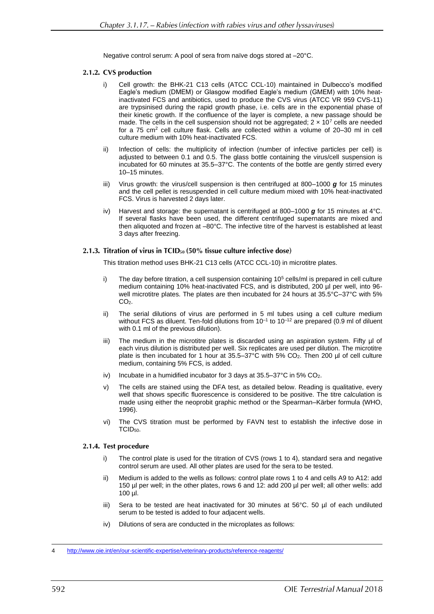Negative control serum: A pool of sera from naïve dogs stored at –20°C.

# 2.1.2. CVS production

- i) Cell growth: the BHK-21 C13 cells (ATCC CCL-10) maintained in Dulbecco's modified Eagle's medium (DMEM) or Glasgow modified Eagle's medium (GMEM) with 10% heatinactivated FCS and antibiotics, used to produce the CVS virus (ATCC VR 959 CVS-11) are trypsinised during the rapid growth phase, i.e. cells are in the exponential phase of their kinetic growth. If the confluence of the layer is complete, a new passage should be made. The cells in the cell suspension should not be aggregated;  $2 \times 10^7$  cells are needed for a  $75 \text{ cm}^2$  cell culture flask. Cells are collected within a volume of  $20-30$  ml in cell culture medium with 10% heat-inactivated FCS.
- ii) Infection of cells: the multiplicity of infection (number of infective particles per cell) is adjusted to between 0.1 and 0.5. The glass bottle containing the virus/cell suspension is incubated for 60 minutes at 35.5–37°C. The contents of the bottle are gently stirred every 10–15 minutes.
- iii) Virus growth: the virus/cell suspension is then centrifuged at 800–1000 *g* for 15 minutes and the cell pellet is resuspended in cell culture medium mixed with 10% heat-inactivated FCS. Virus is harvested 2 days later.
- iv) Harvest and storage: the supernatant is centrifuged at 800–1000 *g* for 15 minutes at 4°C. If several flasks have been used, the different centrifuged supernatants are mixed and then aliquoted and frozen at –80°C. The infective titre of the harvest is established at least 3 days after freezing.

# 2.1.3. Titration of virus in  $TCID_{50}$  (50% tissue culture infective dose)

This titration method uses BHK-21 C13 cells (ATCC CCL-10) in microtitre plates.

- i) The day before titration, a cell suspension containing 10<sup>5</sup> cells/ml is prepared in cell culture medium containing 10% heat-inactivated FCS, and is distributed, 200 µl per well, into 96 well microtitre plates. The plates are then incubated for 24 hours at 35.5°C–37°C with 5%  $CO<sub>2</sub>$ .
- ii) The serial dilutions of virus are performed in 5 ml tubes using a cell culture medium without FCS as diluent. Ten-fold dilutions from  $10^{-1}$  to  $10^{-12}$  are prepared (0.9 ml of diluent with 0.1 ml of the previous dilution).
- iii) The medium in the microtitre plates is discarded using an aspiration system. Fifty µl of each virus dilution is distributed per well. Six replicates are used per dilution. The microtitre plate is then incubated for 1 hour at 35.5–37°C with 5% CO2. Then 200 µl of cell culture medium, containing 5% FCS, is added.
- iv) Incubate in a humidified incubator for 3 days at  $35.5-37^{\circ}$ C in  $5\%$  CO<sub>2</sub>.
- v) The cells are stained using the DFA test, as detailed below. Reading is qualitative, every well that shows specific fluorescence is considered to be positive. The titre calculation is made using either the neoprobit graphic method or the Spearman–Kärber formula (WHO, 1996).
- vi) The CVS titration must be performed by FAVN test to establish the infective dose in TCID50.

# 2.1.4. Test procedure

- i) The control plate is used for the titration of CVS (rows 1 to 4), standard sera and negative control serum are used. All other plates are used for the sera to be tested.
- ii) Medium is added to the wells as follows: control plate rows 1 to 4 and cells A9 to A12: add 150 µl per well; in the other plates, rows 6 and 12: add 200 µl per well; all other wells: add 100 µl.
- iii) Sera to be tested are heat inactivated for 30 minutes at  $56^{\circ}$ C. 50 µl of each undiluted serum to be tested is added to four adjacent wells.
- iv) Dilutions of sera are conducted in the microplates as follows:

<sup>4</sup> <http://www.oie.int/en/our-scientific-expertise/veterinary-products/reference-reagents/>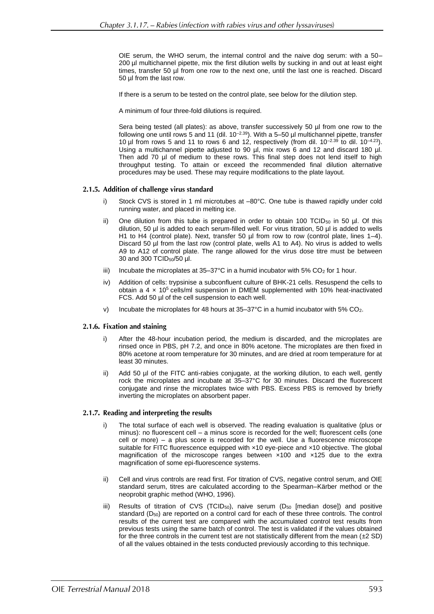OIE serum, the WHO serum, the internal control and the naive dog serum: with a 50– 200 µl multichannel pipette, mix the first dilution wells by sucking in and out at least eight times, transfer 50 µl from one row to the next one, until the last one is reached. Discard 50 µl from the last row.

If there is a serum to be tested on the control plate, see below for the dilution step.

A minimum of four three-fold dilutions is required.

Sera being tested (all plates): as above, transfer successively 50 µl from one row to the following one until rows 5 and 11 (dil. 10<sup>-2.39</sup>). With a 5–50 µl multichannel pipette, transfer 10 µl from rows 5 and 11 to rows 6 and 12, respectively (from dil.  $10^{-2.39}$  to dil.  $10^{-4.23}$ ). Using a multichannel pipette adjusted to 90 µl, mix rows 6 and 12 and discard 180 µl. Then add 70 µl of medium to these rows. This final step does not lend itself to high throughput testing. To attain or exceed the recommended final dilution alternative procedures may be used. These may require modifications to the plate layout.

# 2.1.5. Addition of challenge virus standard

- i) Stock CVS is stored in 1 ml microtubes at –80°C. One tube is thawed rapidly under cold running water, and placed in melting ice.
- ii) One dilution from this tube is prepared in order to obtain 100 TCID<sub>50</sub> in 50 µl. Of this dilution, 50 ul is added to each serum-filled well. For virus titration, 50 ul is added to wells H1 to H4 (control plate). Next, transfer 50 µl from row to row (control plate, lines 1–4). Discard 50 µl from the last row (control plate, wells A1 to A4). No virus is added to wells A9 to A12 of control plate. The range allowed for the virus dose titre must be between 30 and 300 TCID50/50 µl.
- iii) Incubate the microplates at  $35-37^{\circ}$ C in a humid incubator with  $5\%$  CO<sub>2</sub> for 1 hour.
- iv) Addition of cells: trypsinise a subconfluent culture of BHK-21 cells. Resuspend the cells to obtain a  $4 \times 10^5$  cells/ml suspension in DMEM supplemented with 10% heat-inactivated FCS. Add 50 µl of the cell suspension to each well.
- v) Incubate the microplates for 48 hours at  $35-37^{\circ}$ C in a humid incubator with  $5\%$  CO<sub>2</sub>.

### 2.1.6. Fixation and staining

- After the 48-hour incubation period, the medium is discarded, and the microplates are rinsed once in PBS, pH 7.2, and once in 80% acetone. The microplates are then fixed in 80% acetone at room temperature for 30 minutes, and are dried at room temperature for at least 30 minutes.
- ii) Add 50 µl of the FITC anti-rabies conjugate, at the working dilution, to each well, gently rock the microplates and incubate at 35–37°C for 30 minutes. Discard the fluorescent conjugate and rinse the microplates twice with PBS. Excess PBS is removed by briefly inverting the microplates on absorbent paper.

### 2.1.7. Reading and interpreting the results

- i) The total surface of each well is observed. The reading evaluation is qualitative (plus or minus): no fluorescent cell – a minus score is recorded for the well; fluorescent cells (one cell or more) – a plus score is recorded for the well. Use a fluorescence microscope suitable for FITC fluorescence equipped with  $\times$ 10 eye-piece and  $\times$ 10 objective. The global magnification of the microscope ranges between ×100 and ×125 due to the extra magnification of some epi-fluorescence systems.
- ii) Cell and virus controls are read first. For titration of CVS, negative control serum, and OIE standard serum, titres are calculated according to the Spearman–Kärber method or the neoprobit graphic method (WHO, 1996).
- iii) Results of titration of CVS (TCID $_{50}$ ), naive serum (D $_{50}$  [median dose]) and positive standard  $(D_{50})$  are reported on a control card for each of these three controls. The control results of the current test are compared with the accumulated control test results from previous tests using the same batch of control. The test is validated if the values obtained for the three controls in the current test are not statistically different from the mean  $(\pm 2 \text{ SD})$ of all the values obtained in the tests conducted previously according to this technique.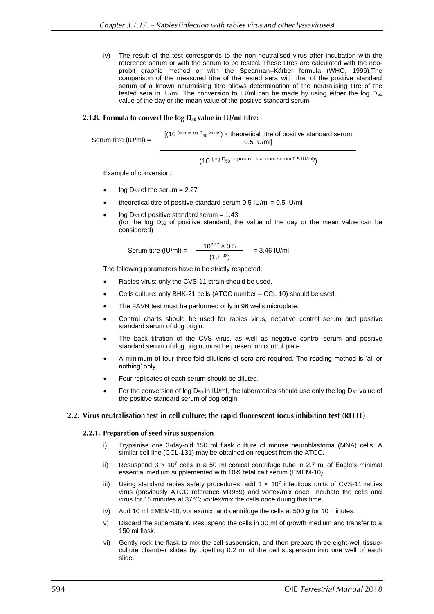iv) The result of the test corresponds to the non-neutralised virus after incubation with the reference serum or with the serum to be tested. These titres are calculated with the neoprobit graphic method or with the Spearman–Kärber formula (WHO, 1996).The comparison of the measured titre of the tested sera with that of the positive standard serum of a known neutralising titre allows determination of the neutralising titre of the tested sera in IU/ml. The conversion to IU/ml can be made by using either the log  $D_{50}$ value of the day or the mean value of the positive standard serum.

### 2.1.8. Formula to convert the  $log D_{50}$  value in IU/ml titre:

Serum titre (IU/ml) =

 $[(10 \text{ (serum log D}_{50} \text{ value})) \times \text{theoretical titre of positive standard serum}]$ 0.5 IU/ml]

 $(10^{$  (log D<sub>50</sub> of positive standard serum 0.5 IU/ml)

Example of conversion:

- $log D_{50}$  of the serum = 2.27
- theoretical titre of positive standard serum 0.5 IU/ml = 0.5 IU/ml
- log  $D_{50}$  of positive standard serum = 1.43 (for the log D<sup>50</sup> of positive standard, the value of the day or the mean value can be considered)

Serum titre (IU/ml) = 
$$
\frac{10^{2.27} \times 0.5}{(10^{1.43})} = 3.46 \text{ IU/ml}
$$

The following parameters have to be strictly respected:

- Rabies virus: only the CVS-11 strain should be used.
- Cells culture: only BHK-21 cells (ATCC number CCL 10) should be used.
- The FAVN test must be performed only in 96 wells microplate.
- Control charts should be used for rabies virus, negative control serum and positive standard serum of dog origin.
- The back titration of the CVS virus, as well as negative control serum and positive standard serum of dog origin, must be present on control plate.
- A minimum of four three-fold dilutions of sera are required. The reading method is 'all or nothing' only.
- Four replicates of each serum should be diluted.
- For the conversion of log D<sub>50</sub> in IU/ml, the laboratories should use only the log D<sub>50</sub> value of the positive standard serum of dog origin.

### 2.2. Virus neutralisation test in cell culture: the rapid fluorescent focus inhibition test (RFFIT)

### 2.2.1. Preparation of seed virus suspension

- i) Trypsinise one 3-day-old 150 ml flask culture of mouse neuroblastoma (MNA) cells. A similar cell line (CCL-131) may be obtained on request from the ATCC.
- ii) Resuspend  $3 \times 10^7$  cells in a 50 ml conical centrifuge tube in 2.7 ml of Eagle's minimal essential medium supplemented with 10% fetal calf serum (EMEM-10).
- iii) Using standard rabies safety procedures, add  $1 \times 10^7$  infectious units of CVS-11 rabies virus (previously ATCC reference VR959) and vortex/mix once. Incubate the cells and virus for 15 minutes at 37°C; vortex/mix the cells once during this time.
- iv) Add 10 ml EMEM-10, vortex/mix, and centrifuge the cells at 500 *g* for 10 minutes.
- v) Discard the supernatant. Resuspend the cells in 30 ml of growth medium and transfer to a 150 ml flask.
- vi) Gently rock the flask to mix the cell suspension, and then prepare three eight-well tissueculture chamber slides by pipetting 0.2 ml of the cell suspension into one well of each slide.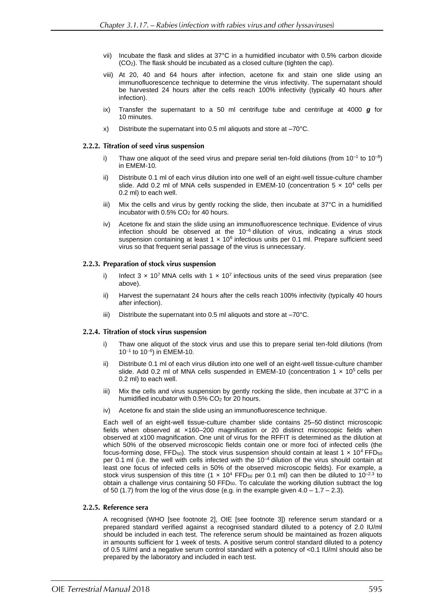- vii) Incubate the flask and slides at 37°C in a humidified incubator with 0.5% carbon dioxide (CO2). The flask should be incubated as a closed culture (tighten the cap).
- viii) At 20, 40 and 64 hours after infection, acetone fix and stain one slide using an immunofluorescence technique to determine the virus infectivity. The supernatant should be harvested 24 hours after the cells reach 100% infectivity (typically 40 hours after infection).
- ix) Transfer the supernatant to a 50 ml centrifuge tube and centrifuge at 4000 *g* for 10 minutes.
- x) Distribute the supernatant into 0.5 ml aliquots and store at –70°C.

### 2.2.2. Titration of seed virus suspension

- i) Thaw one aliquot of the seed virus and prepare serial ten-fold dilutions (from  $10^{-1}$  to  $10^{-8}$ ) in EMEM-10.
- ii) Distribute 0.1 ml of each virus dilution into one well of an eight-well tissue-culture chamber slide. Add 0.2 ml of MNA cells suspended in EMEM-10 (concentration  $5 \times 10^4$  cells per 0.2 ml) to each well.
- iii) Mix the cells and virus by gently rocking the slide, then incubate at 37°C in a humidified incubator with  $0.5\%$  CO<sub>2</sub> for 40 hours.
- iv) Acetone fix and stain the slide using an immunofluorescence technique. Evidence of virus infection should be observed at the  $10^{-6}$  dilution of virus, indicating a virus stock suspension containing at least  $1 \times 10^6$  infectious units per 0.1 ml. Prepare sufficient seed virus so that frequent serial passage of the virus is unnecessary.

### 2.2.3. Preparation of stock virus suspension

- i) Infect  $3 \times 10^7$  MNA cells with  $1 \times 10^7$  infectious units of the seed virus preparation (see above).
- ii) Harvest the supernatant 24 hours after the cells reach 100% infectivity (typically 40 hours after infection).
- iii) Distribute the supernatant into 0.5 ml aliquots and store at –70°C.

### 2.2.4. Titration of stock virus suspension

- i) Thaw one aliquot of the stock virus and use this to prepare serial ten-fold dilutions (from 10<sup>−</sup><sup>1</sup> to 10<sup>−</sup><sup>6</sup> ) in EMEM-10.
- Distribute 0.1 ml of each virus dilution into one well of an eight-well tissue-culture chamber slide. Add 0.2 ml of MNA cells suspended in EMEM-10 (concentration  $1 \times 10^5$  cells per 0.2 ml) to each well.
- iii) Mix the cells and virus suspension by gently rocking the slide, then incubate at 37°C in a humidified incubator with  $0.5\%$  CO<sub>2</sub> for 20 hours.
- iv) Acetone fix and stain the slide using an immunofluorescence technique.

Each well of an eight-well tissue-culture chamber slide contains 25–50 distinct microscopic fields when observed at ×160–200 magnification or 20 distinct microscopic fields when observed at x100 magnification. One unit of virus for the RFFIT is determined as the dilution at which 50% of the observed microscopic fields contain one or more foci of infected cells (the focus-forming dose, FFD<sub>50</sub>). The stock virus suspension should contain at least 1  $\times$  10<sup>4</sup> FFD<sub>50</sub> per 0.1 ml (i.e. the well with cells infected with the 10–4 dilution of the virus should contain at least one focus of infected cells in 50% of the observed microscopic fields). For example, a stock virus suspension of this titre (1  $\times$  10<sup>4</sup> FFD<sub>50</sub> per 0.1 ml) can then be diluted to 10<sup>-2.3</sup> to obtain a challenge virus containing 50 FFD $_{50}$ . To calculate the working dilution subtract the log of 50 (1.7) from the log of the virus dose (e.g. in the example given  $4.0 - 1.7 - 2.3$ ).

### 2.2.5. Reference sera

A recognised (WHO [see footnote 2], OIE [see footnote 3]) reference serum standard or a prepared standard verified against a recognised standard diluted to a potency of 2.0 IU/ml should be included in each test. The reference serum should be maintained as frozen aliquots in amounts sufficient for 1 week of tests. A positive serum control standard diluted to a potency of 0.5 IU/ml and a negative serum control standard with a potency of <0.1 IU/ml should also be prepared by the laboratory and included in each test.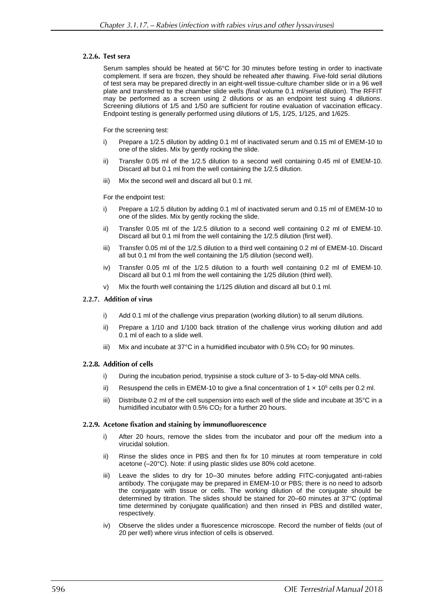### 2.2.6. Test sera

Serum samples should be heated at 56°C for 30 minutes before testing in order to inactivate complement. If sera are frozen, they should be reheated after thawing. Five-fold serial dilutions of test sera may be prepared directly in an eight-well tissue-culture chamber slide or in a 96 well plate and transferred to the chamber slide wells (final volume 0.1 ml/serial dilution). The RFFIT may be performed as a screen using 2 dilutions or as an endpoint test suing 4 dilutions. Screening dilutions of 1/5 and 1/50 are sufficient for routine evaluation of vaccination efficacy. Endpoint testing is generally performed using dilutions of 1/5, 1/25, 1/125, and 1/625.

For the screening test:

- i) Prepare a 1/2.5 dilution by adding 0.1 ml of inactivated serum and 0.15 ml of EMEM-10 to one of the slides. Mix by gently rocking the slide.
- ii) Transfer 0.05 ml of the 1/2.5 dilution to a second well containing 0.45 ml of EMEM-10. Discard all but 0.1 ml from the well containing the 1/2.5 dilution.
- iii) Mix the second well and discard all but 0.1 ml.

For the endpoint test:

- Prepare a 1/2.5 dilution by adding 0.1 ml of inactivated serum and 0.15 ml of EMEM-10 to one of the slides. Mix by gently rocking the slide.
- ii) Transfer 0.05 ml of the 1/2.5 dilution to a second well containing 0.2 ml of EMEM-10. Discard all but 0.1 ml from the well containing the 1/2.5 dilution (first well).
- iii) Transfer 0.05 ml of the 1/2.5 dilution to a third well containing 0.2 ml of EMEM-10. Discard all but 0.1 ml from the well containing the 1/5 dilution (second well).
- iv) Transfer 0.05 ml of the 1/2.5 dilution to a fourth well containing 0.2 ml of EMEM-10. Discard all but 0.1 ml from the well containing the 1/25 dilution (third well).
- v) Mix the fourth well containing the 1/125 dilution and discard all but 0.1 ml.

### 2.2.7. Addition of virus

- i) Add 0.1 ml of the challenge virus preparation (working dilution) to all serum dilutions.
- ii) Prepare a 1/10 and 1/100 back titration of the challenge virus working dilution and add 0.1 ml of each to a slide well.
- iii) Mix and incubate at 37°C in a humidified incubator with  $0.5\%$  CO<sub>2</sub> for 90 minutes.

### 2.2.8. Addition of cells

- i) During the incubation period, trypsinise a stock culture of 3- to 5-day-old MNA cells.
- ii) Resuspend the cells in EMEM-10 to give a final concentration of  $1 \times 10^5$  cells per 0.2 ml.
- iii) Distribute 0.2 ml of the cell suspension into each well of the slide and incubate at 35°C in a humidified incubator with  $0.5\%$  CO<sub>2</sub> for a further 20 hours.

### 2.2.9. Acetone fixation and staining by immunofluorescence

- i) After 20 hours, remove the slides from the incubator and pour off the medium into a virucidal solution.
- ii) Rinse the slides once in PBS and then fix for 10 minutes at room temperature in cold acetone (–20°C). Note: if using plastic slides use 80% cold acetone.
- iii) Leave the slides to dry for 10–30 minutes before adding FITC-conjugated anti-rabies antibody. The conjugate may be prepared in EMEM-10 or PBS; there is no need to adsorb the conjugate with tissue or cells. The working dilution of the conjugate should be determined by titration. The slides should be stained for 20–60 minutes at 37°C (optimal time determined by conjugate qualification) and then rinsed in PBS and distilled water, respectively.
- iv) Observe the slides under a fluorescence microscope. Record the number of fields (out of 20 per well) where virus infection of cells is observed.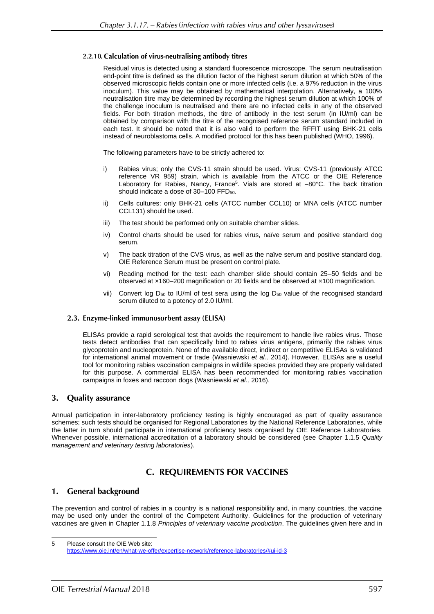# 2.2.10. Calculation of virus-neutralising antibody titres

Residual virus is detected using a standard fluorescence microscope. The serum neutralisation end-point titre is defined as the dilution factor of the highest serum dilution at which 50% of the observed microscopic fields contain one or more infected cells (i.e. a 97% reduction in the virus inoculum). This value may be obtained by mathematical interpolation. Alternatively, a 100% neutralisation titre may be determined by recording the highest serum dilution at which 100% of the challenge inoculum is neutralised and there are no infected cells in any of the observed fields. For both titration methods, the titre of antibody in the test serum (in IU/ml) can be obtained by comparison with the titre of the recognised reference serum standard included in each test. It should be noted that it is also valid to perform the RFFIT using BHK-21 cells instead of neuroblastoma cells. A modified protocol for this has been published (WHO, 1996).

The following parameters have to be strictly adhered to:

- i) Rabies virus; only the CVS-11 strain should be used. Virus: CVS-11 (previously ATCC reference VR 959) strain, which is available from the ATCC or the OIE Reference Laboratory for Rabies, Nancy, France<sup>5</sup>. Vials are stored at -80°C. The back titration should indicate a dose of 30–100 FFD<sub>50</sub>.
- ii) Cells cultures: only BHK-21 cells (ATCC number CCL10) or MNA cells (ATCC number CCL131) should be used.
- iii) The test should be performed only on suitable chamber slides.
- iv) Control charts should be used for rabies virus, naïve serum and positive standard dog serum.
- v) The back titration of the CVS virus, as well as the naïve serum and positive standard dog, OIE Reference Serum must be present on control plate.
- vi) Reading method for the test: each chamber slide should contain 25–50 fields and be observed at ×160–200 magnification or 20 fields and be observed at ×100 magnification.
- vii) Convert log  $D_{50}$  to IU/ml of test sera using the log  $D_{50}$  value of the recognised standard serum diluted to a potency of 2.0 IU/ml.

### 2.3. Enzyme-linked immunosorbent assay (ELISA)

ELISAs provide a rapid serological test that avoids the requirement to handle live rabies virus. Those tests detect antibodies that can specifically bind to rabies virus antigens, primarily the rabies virus glycoprotein and nucleoprotein. None of the available direct, indirect or competitive ELISAs is validated for international animal movement or trade (Wasniewski *et al.,* 2014). However, ELISAs are a useful tool for monitoring rabies vaccination campaigns in wildlife species provided they are properly validated for this purpose. A commercial ELISA has been recommended for monitoring rabies vaccination campaigns in foxes and raccoon dogs (Wasniewski *et al.,* 2016).

#### **Quality assurance**  $3.$

Annual participation in inter-laboratory proficiency testing is highly encouraged as part of quality assurance schemes; such tests should be organised for Regional Laboratories by the National Reference Laboratories, while the latter in turn should participate in international proficiency tests organised by OIE Reference Laboratories. Whenever possible, international accreditation of a laboratory should be considered (see Chapter 1.1.5 *Quality management and veterinary testing laboratories*).

# **C. REQUIREMENTS FOR VACCINES**

#### **General background** 1.

The prevention and control of rabies in a country is a national responsibility and, in many countries, the vaccine may be used only under the control of the Competent Authority. Guidelines for the production of veterinary vaccines are given in Chapter 1.1.8 *Principles of veterinary vaccine production*. The guidelines given here and in

<sup>5</sup> Please consult the OIE Web site: <https://www.oie.int/en/what-we-offer/expertise-network/reference-laboratories/#ui-id-3>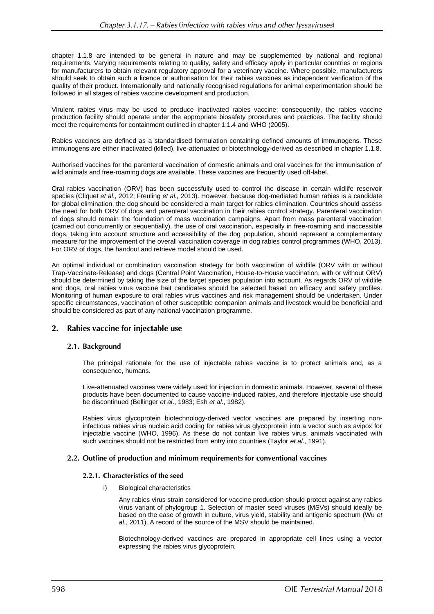chapter 1.1.8 are intended to be general in nature and may be supplemented by national and regional requirements. Varying requirements relating to quality, safety and efficacy apply in particular countries or regions for manufacturers to obtain relevant regulatory approval for a veterinary vaccine. Where possible, manufacturers should seek to obtain such a licence or authorisation for their rabies vaccines as independent verification of the quality of their product. Internationally and nationally recognised regulations for animal experimentation should be followed in all stages of rabies vaccine development and production.

Virulent rabies virus may be used to produce inactivated rabies vaccine; consequently, the rabies vaccine production facility should operate under the appropriate biosafety procedures and practices. The facility should meet the requirements for containment outlined in chapter 1.1.4 and WHO (2005).

Rabies vaccines are defined as a standardised formulation containing defined amounts of immunogens. These immunogens are either inactivated (killed), live-attenuated or biotechnology-derived as described in chapter 1.1.8.

Authorised vaccines for the parenteral vaccination of domestic animals and oral vaccines for the immunisation of wild animals and free-roaming dogs are available. These vaccines are frequently used off-label.

Oral rabies vaccination (ORV) has been successfully used to control the disease in certain wildlife reservoir species (Cliquet *et al*., 2012; Freuling *et al.,* 2013). However, because dog-mediated human rabies is a candidate for global elimination, the dog should be considered a main target for rabies elimination. Countries should assess the need for both ORV of dogs and parenteral vaccination in their rabies control strategy. Parenteral vaccination of dogs should remain the foundation of mass vaccination campaigns. Apart from mass parenteral vaccination (carried out concurrently or sequentially), the use of oral vaccination, especially in free-roaming and inaccessible dogs, taking into account structure and accessibility of the dog population, should represent a complementary measure for the improvement of the overall vaccination coverage in dog rabies control programmes (WHO, 2013). For ORV of dogs, the handout and retrieve model should be used.

An optimal individual or combination vaccination strategy for both vaccination of wildlife (ORV with or without Trap-Vaccinate-Release) and dogs (Central Point Vaccination, House-to-House vaccination, with or without ORV) should be determined by taking the size of the target species population into account. As regards ORV of wildlife and dogs, oral rabies virus vaccine bait candidates should be selected based on efficacy and safety profiles. Monitoring of human exposure to oral rabies virus vaccines and risk management should be undertaken. Under specific circumstances, vaccination of other susceptible companion animals and livestock would be beneficial and should be considered as part of any national vaccination programme.

#### $2.$ Rabies vaccine for injectable use

### 2.1. Background

The principal rationale for the use of injectable rabies vaccine is to protect animals and, as a consequence, humans.

Live-attenuated vaccines were widely used for injection in domestic animals. However, several of these products have been documented to cause vaccine-induced rabies, and therefore injectable use should be discontinued (Bellinger *et al*., 1983; Esh *et al*., 1982).

Rabies virus glycoprotein biotechnology-derived vector vaccines are prepared by inserting noninfectious rabies virus nucleic acid coding for rabies virus glycoprotein into a vector such as avipox for injectable vaccine (WHO, 1996). As these do not contain live rabies virus, animals vaccinated with such vaccines should not be restricted from entry into countries (Taylor *et al*., 1991).

### 2.2. Outline of production and minimum requirements for conventional vaccines

### 2.2.1. Characteristics of the seed

i) Biological characteristics

Any rabies virus strain considered for vaccine production should protect against any rabies virus variant of phylogroup 1. Selection of master seed viruses (MSVs) should ideally be based on the ease of growth in culture, virus yield, stability and antigenic spectrum (Wu *et al*., 2011). A record of the source of the MSV should be maintained.

Biotechnology-derived vaccines are prepared in appropriate cell lines using a vector expressing the rabies virus glycoprotein.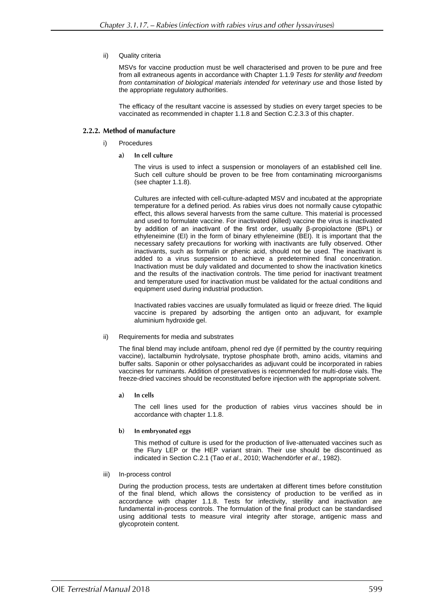### ii) Quality criteria

MSVs for vaccine production must be well characterised and proven to be pure and free from all extraneous agents in accordance with Chapter 1.1.9 *Tests for sterility and freedom from contamination of biological materials intended for veterinary use* and those listed by the appropriate regulatory authorities.

The efficacy of the resultant vaccine is assessed by studies on every target species to be vaccinated as recommended in chapter 1.1.8 and Section C.2.3.3 of this chapter.

# 2.2.2. Method of manufacture

- i) Procedures
	- a) In cell culture

The virus is used to infect a suspension or monolayers of an established cell line. Such cell culture should be proven to be free from contaminating microorganisms (see chapter 1.1.8).

Cultures are infected with cell-culture-adapted MSV and incubated at the appropriate temperature for a defined period. As rabies virus does not normally cause cytopathic effect, this allows several harvests from the same culture. This material is processed and used to formulate vaccine. For inactivated (killed) vaccine the virus is inactivated by addition of an inactivant of the first order, usually β-propiolactone (BPL) or ethyleneimine (EI) in the form of binary ethyleneimine (BEI). It is important that the necessary safety precautions for working with inactivants are fully observed. Other inactivants, such as formalin or phenic acid, should not be used. The inactivant is added to a virus suspension to achieve a predetermined final concentration. Inactivation must be duly validated and documented to show the inactivation kinetics and the results of the inactivation controls. The time period for inactivant treatment and temperature used for inactivation must be validated for the actual conditions and equipment used during industrial production.

Inactivated rabies vaccines are usually formulated as liquid or freeze dried. The liquid vaccine is prepared by adsorbing the antigen onto an adjuvant, for example aluminium hydroxide gel.

### ii) Requirements for media and substrates

The final blend may include antifoam, phenol red dye (if permitted by the country requiring vaccine), lactalbumin hydrolysate, tryptose phosphate broth, amino acids, vitamins and buffer salts. Saponin or other polysaccharides as adjuvant could be incorporated in rabies vaccines for ruminants. Addition of preservatives is recommended for multi-dose vials. The freeze-dried vaccines should be reconstituted before injection with the appropriate solvent.

 $a)$ In cells

> The cell lines used for the production of rabies virus vaccines should be in accordance with chapter 1.1.8.

 $\mathbf{b}$ In embryonated eggs

> This method of culture is used for the production of live-attenuated vaccines such as the Flury LEP or the HEP variant strain. Their use should be discontinued as indicated in Section C.2.1 (Tao *et al*., 2010; Wachendörfer *et al*., 1982).

iii) In-process control

During the production process, tests are undertaken at different times before constitution of the final blend, which allows the consistency of production to be verified as in accordance with chapter 1.1.8. Tests for infectivity, sterility and inactivation are fundamental in-process controls. The formulation of the final product can be standardised using additional tests to measure viral integrity after storage, antigenic mass and glycoprotein content.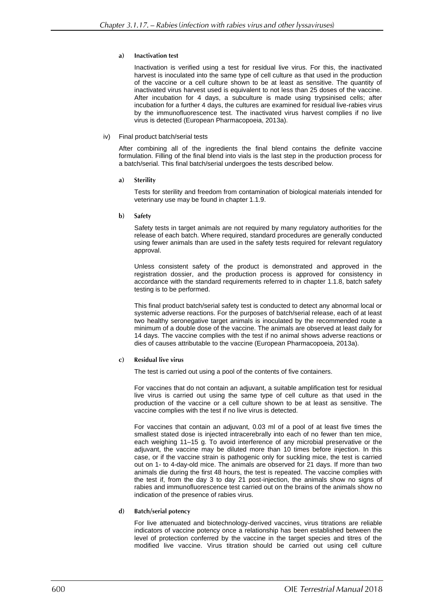#### $a)$ **Inactivation test**

Inactivation is verified using a test for residual live virus. For this, the inactivated harvest is inoculated into the same type of cell culture as that used in the production of the vaccine or a cell culture shown to be at least as sensitive. The quantity of inactivated virus harvest used is equivalent to not less than 25 doses of the vaccine. After incubation for 4 days, a subculture is made using trypsinised cells; after incubation for a further 4 days, the cultures are examined for residual live-rabies virus by the immunofluorescence test. The inactivated virus harvest complies if no live virus is detected (European Pharmacopoeia, 2013a).

### iv) Final product batch/serial tests

After combining all of the ingredients the final blend contains the definite vaccine formulation. Filling of the final blend into vials is the last step in the production process for a batch/serial. This final batch/serial undergoes the tests described below.

 $a)$ **Sterility** 

> Tests for sterility and freedom from contamination of biological materials intended for veterinary use may be found in chapter 1.1.9.

b) Safety

Safety tests in target animals are not required by many regulatory authorities for the release of each batch. Where required, standard procedures are generally conducted using fewer animals than are used in the safety tests required for relevant regulatory approval.

Unless consistent safety of the product is demonstrated and approved in the registration dossier, and the production process is approved for consistency in accordance with the standard requirements referred to in chapter 1.1.8, batch safety testing is to be performed.

This final product batch/serial safety test is conducted to detect any abnormal local or systemic adverse reactions. For the purposes of batch/serial release, each of at least two healthy seronegative target animals is inoculated by the recommended route a minimum of a double dose of the vaccine. The animals are observed at least daily for 14 days. The vaccine complies with the test if no animal shows adverse reactions or dies of causes attributable to the vaccine (European Pharmacopoeia, 2013a).

#### **Residual live virus**  $\mathbf{c}$

The test is carried out using a pool of the contents of five containers.

For vaccines that do not contain an adjuvant, a suitable amplification test for residual live virus is carried out using the same type of cell culture as that used in the production of the vaccine or a cell culture shown to be at least as sensitive. The vaccine complies with the test if no live virus is detected.

For vaccines that contain an adjuvant, 0.03 ml of a pool of at least five times the smallest stated dose is injected intracerebrally into each of no fewer than ten mice, each weighing 11–15 g. To avoid interference of any microbial preservative or the adjuvant, the vaccine may be diluted more than 10 times before injection. In this case, or if the vaccine strain is pathogenic only for suckling mice, the test is carried out on 1- to 4-day-old mice. The animals are observed for 21 days. If more than two animals die during the first 48 hours, the test is repeated. The vaccine complies with the test if, from the day 3 to day 21 post-injection, the animals show no signs of rabies and immunofluorescence test carried out on the brains of the animals show no indication of the presence of rabies virus.

**Batch/serial potency**  $\mathbf{d}$ 

> For live attenuated and biotechnology-derived vaccines, virus titrations are reliable indicators of vaccine potency once a relationship has been established between the level of protection conferred by the vaccine in the target species and titres of the modified live vaccine. Virus titration should be carried out using cell culture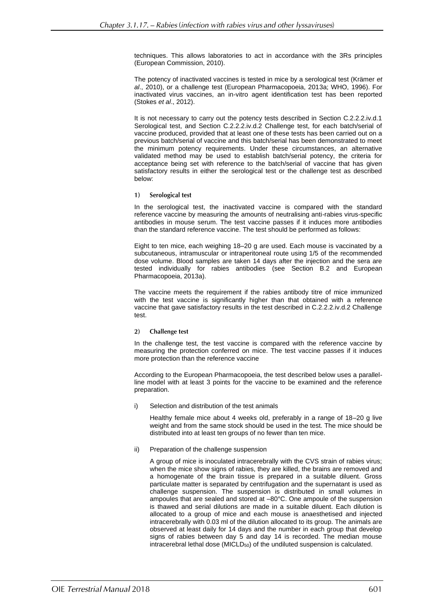techniques. This allows laboratories to act in accordance with the 3Rs principles (European Commission, 2010).

The potency of inactivated vaccines is tested in mice by a serological test (Krämer *et al*., 2010), or a challenge test (European Pharmacopoeia, 2013a; WHO, 1996). For inactivated virus vaccines, an in-vitro agent identification test has been reported (Stokes *et al*., 2012).

It is not necessary to carry out the potency tests described in Section C.2.2.2.iv.d.1 Serological test, and Section C.2.2.2.iv.d.2 Challenge test, for each batch/serial of vaccine produced, provided that at least one of these tests has been carried out on a previous batch/serial of vaccine and this batch/serial has been demonstrated to meet the minimum potency requirements. Under these circumstances, an alternative validated method may be used to establish batch/serial potency, the criteria for acceptance being set with reference to the batch/serial of vaccine that has given satisfactory results in either the serological test or the challenge test as described below:

#### Serological test  $1)$

In the serological test, the inactivated vaccine is compared with the standard reference vaccine by measuring the amounts of neutralising anti-rabies virus-specific antibodies in mouse serum. The test vaccine passes if it induces more antibodies than the standard reference vaccine. The test should be performed as follows:

Eight to ten mice, each weighing 18–20 g are used. Each mouse is vaccinated by a subcutaneous, intramuscular or intraperitoneal route using 1/5 of the recommended dose volume. Blood samples are taken 14 days after the injection and the sera are tested individually for rabies antibodies (see Section B.2 and European Pharmacopoeia, 2013a).

The vaccine meets the requirement if the rabies antibody titre of mice immunized with the test vaccine is significantly higher than that obtained with a reference vaccine that gave satisfactory results in the test described in C.2.2.2.iv.d.2 Challenge test.

#### $2)$ **Challenge test**

In the challenge test, the test vaccine is compared with the reference vaccine by measuring the protection conferred on mice. The test vaccine passes if it induces more protection than the reference vaccine

According to the European Pharmacopoeia, the test described below uses a parallelline model with at least 3 points for the vaccine to be examined and the reference preparation.

i) Selection and distribution of the test animals

Healthy female mice about 4 weeks old, preferably in a range of 18–20 g live weight and from the same stock should be used in the test. The mice should be distributed into at least ten groups of no fewer than ten mice.

ii) Preparation of the challenge suspension

A group of mice is inoculated intracerebrally with the CVS strain of rabies virus; when the mice show signs of rabies, they are killed, the brains are removed and a homogenate of the brain tissue is prepared in a suitable diluent. Gross particulate matter is separated by centrifugation and the supernatant is used as challenge suspension. The suspension is distributed in small volumes in ampoules that are sealed and stored at –80°C. One ampoule of the suspension is thawed and serial dilutions are made in a suitable diluent. Each dilution is allocated to a group of mice and each mouse is anaesthetised and injected intracerebrally with 0.03 ml of the dilution allocated to its group. The animals are observed at least daily for 14 days and the number in each group that develop signs of rabies between day 5 and day 14 is recorded. The median mouse intracerebral lethal dose (MICLD<sub>50</sub>) of the undiluted suspension is calculated.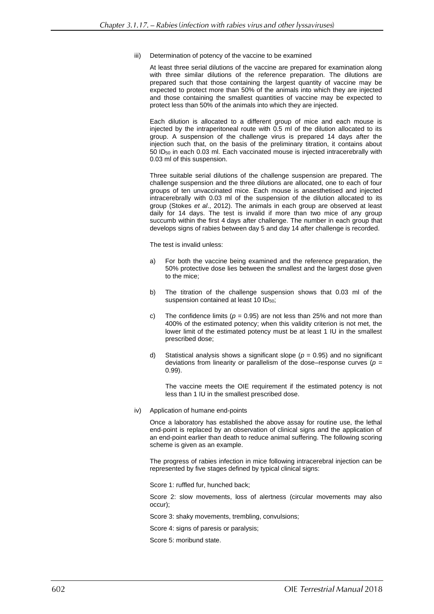iii) Determination of potency of the vaccine to be examined

At least three serial dilutions of the vaccine are prepared for examination along with three similar dilutions of the reference preparation. The dilutions are prepared such that those containing the largest quantity of vaccine may be expected to protect more than 50% of the animals into which they are injected and those containing the smallest quantities of vaccine may be expected to protect less than 50% of the animals into which they are injected.

Each dilution is allocated to a different group of mice and each mouse is injected by the intraperitoneal route with 0.5 ml of the dilution allocated to its group. A suspension of the challenge virus is prepared 14 days after the injection such that, on the basis of the preliminary titration, it contains about 50 ID<sup>50</sup> in each 0.03 ml. Each vaccinated mouse is injected intracerebrally with 0.03 ml of this suspension.

Three suitable serial dilutions of the challenge suspension are prepared. The challenge suspension and the three dilutions are allocated, one to each of four groups of ten unvaccinated mice. Each mouse is anaesthetised and injected intracerebrally with 0.03 ml of the suspension of the dilution allocated to its group (Stokes *et al*., 2012). The animals in each group are observed at least daily for 14 days. The test is invalid if more than two mice of any group succumb within the first 4 days after challenge. The number in each group that develops signs of rabies between day 5 and day 14 after challenge is recorded.

The test is invalid unless:

- a) For both the vaccine being examined and the reference preparation, the 50% protective dose lies between the smallest and the largest dose given to the mice;
- b) The titration of the challenge suspension shows that 0.03 ml of the suspension contained at least 10 ID<sub>50</sub>;
- c) The confidence limits ( $p = 0.95$ ) are not less than 25% and not more than 400% of the estimated potency; when this validity criterion is not met, the lower limit of the estimated potency must be at least 1 IU in the smallest prescribed dose;
- d) Statistical analysis shows a significant slope (*p* = 0.95) and no significant deviations from linearity or parallelism of the dose–response curves (*p* = 0.99).

The vaccine meets the OIE requirement if the estimated potency is not less than 1 IU in the smallest prescribed dose.

iv) Application of humane end-points

Once a laboratory has established the above assay for routine use, the lethal end-point is replaced by an observation of clinical signs and the application of an end-point earlier than death to reduce animal suffering. The following scoring scheme is given as an example.

The progress of rabies infection in mice following intracerebral injection can be represented by five stages defined by typical clinical signs:

Score 1: ruffled fur, hunched back;

Score 2: slow movements, loss of alertness (circular movements may also occur);

Score 3: shaky movements, trembling, convulsions;

Score 4: signs of paresis or paralysis;

Score 5: moribund state.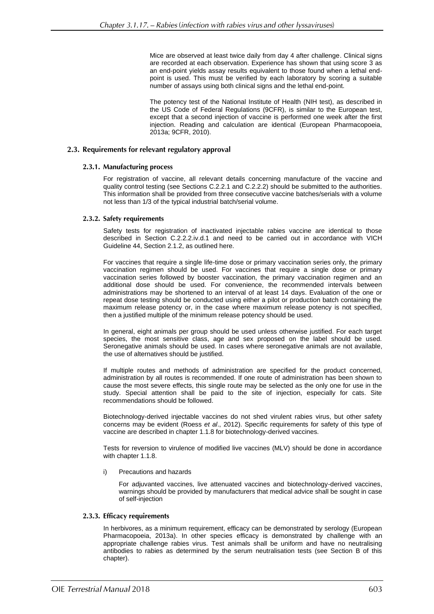Mice are observed at least twice daily from day 4 after challenge. Clinical signs are recorded at each observation. Experience has shown that using score 3 as an end-point yields assay results equivalent to those found when a lethal endpoint is used. This must be verified by each laboratory by scoring a suitable number of assays using both clinical signs and the lethal end-point.

The potency test of the National Institute of Health (NIH test), as described in the US Code of Federal Regulations (9CFR), is similar to the European test, except that a second injection of vaccine is performed one week after the first injection. Reading and calculation are identical (European Pharmacopoeia, 2013a; 9CFR, 2010).

### 2.3. Requirements for relevant regulatory approval

### 2.3.1. Manufacturing process

For registration of vaccine, all relevant details concerning manufacture of the vaccine and quality control testing (see Sections C.2.2.1 and C.2.2.2) should be submitted to the authorities. This information shall be provided from three consecutive vaccine batches/serials with a volume not less than 1/3 of the typical industrial batch/serial volume.

### 2.3.2. Safety requirements

Safety tests for registration of inactivated injectable rabies vaccine are identical to those described in Section C.2.2.2.iv.d.1 and need to be carried out in accordance with VICH Guideline 44, Section 2.1.2, as outlined here.

For vaccines that require a single life-time dose or primary vaccination series only, the primary vaccination regimen should be used. For vaccines that require a single dose or primary vaccination series followed by booster vaccination, the primary vaccination regimen and an additional dose should be used. For convenience, the recommended intervals between administrations may be shortened to an interval of at least 14 days. Evaluation of the one or repeat dose testing should be conducted using either a pilot or production batch containing the maximum release potency or, in the case where maximum release potency is not specified, then a justified multiple of the minimum release potency should be used.

In general, eight animals per group should be used unless otherwise justified. For each target species, the most sensitive class, age and sex proposed on the label should be used. Seronegative animals should be used. In cases where seronegative animals are not available, the use of alternatives should be justified.

If multiple routes and methods of administration are specified for the product concerned, administration by all routes is recommended. If one route of administration has been shown to cause the most severe effects, this single route may be selected as the only one for use in the study. Special attention shall be paid to the site of injection, especially for cats. Site recommendations should be followed.

Biotechnology-derived injectable vaccines do not shed virulent rabies virus, but other safety concerns may be evident (Roess *et al*., 2012). Specific requirements for safety of this type of vaccine are described in chapter 1.1.8 for biotechnology-derived vaccines.

Tests for reversion to virulence of modified live vaccines (MLV) should be done in accordance with chapter 1.1.8.

i) Precautions and hazards

For adjuvanted vaccines, live attenuated vaccines and biotechnology-derived vaccines, warnings should be provided by manufacturers that medical advice shall be sought in case of self-injection

### 2.3.3. Efficacy requirements

In herbivores, as a minimum requirement, efficacy can be demonstrated by serology (European Pharmacopoeia, 2013a). In other species efficacy is demonstrated by challenge with an appropriate challenge rabies virus. Test animals shall be uniform and have no neutralising antibodies to rabies as determined by the serum neutralisation tests (see Section B of this chapter).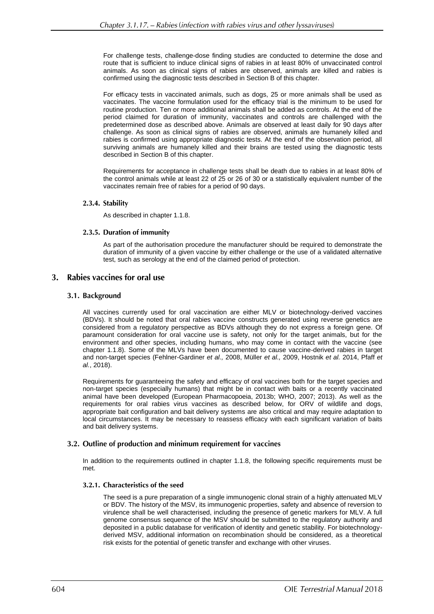For challenge tests, challenge-dose finding studies are conducted to determine the dose and route that is sufficient to induce clinical signs of rabies in at least 80% of unvaccinated control animals. As soon as clinical signs of rabies are observed, animals are killed and rabies is confirmed using the diagnostic tests described in Section B of this chapter.

For efficacy tests in vaccinated animals, such as dogs, 25 or more animals shall be used as vaccinates. The vaccine formulation used for the efficacy trial is the minimum to be used for routine production. Ten or more additional animals shall be added as controls. At the end of the period claimed for duration of immunity, vaccinates and controls are challenged with the predetermined dose as described above. Animals are observed at least daily for 90 days after challenge. As soon as clinical signs of rabies are observed, animals are humanely killed and rabies is confirmed using appropriate diagnostic tests. At the end of the observation period, all surviving animals are humanely killed and their brains are tested using the diagnostic tests described in Section B of this chapter.

Requirements for acceptance in challenge tests shall be death due to rabies in at least 80% of the control animals while at least 22 of 25 or 26 of 30 or a statistically equivalent number of the vaccinates remain free of rabies for a period of 90 days.

### 2.3.4. Stability

As described in chapter 1.1.8.

### 2.3.5. Duration of immunity

As part of the authorisation procedure the manufacturer should be required to demonstrate the duration of immunity of a given vaccine by either challenge or the use of a validated alternative test, such as serology at the end of the claimed period of protection.

#### $\mathbf{R}$ Rabies vaccines for oral use

# 3.1. Background

All vaccines currently used for oral vaccination are either MLV or biotechnology-derived vaccines (BDVs). It should be noted that oral rabies vaccine constructs generated using reverse genetics are considered from a regulatory perspective as BDVs although they do not express a foreign gene. Of paramount consideration for oral vaccine use is safety, not only for the target animals, but for the environment and other species, including humans, who may come in contact with the vaccine (see chapter 1.1.8). Some of the MLVs have been documented to cause vaccine-derived rabies in target and non-target species (Fehlner-Gardiner *et al.,* 2008, Müller *et al.,* 2009, Hostnik *et al.* 2014, Pfaff *et al.*, 2018).

Requirements for guaranteeing the safety and efficacy of oral vaccines both for the target species and non-target species (especially humans) that might be in contact with baits or a recently vaccinated animal have been developed (European Pharmacopoeia, 2013b; WHO, 2007; 2013). As well as the requirements for oral rabies virus vaccines as described below, for ORV of wildlife and dogs, appropriate bait configuration and bait delivery systems are also critical and may require adaptation to local circumstances. It may be necessary to reassess efficacy with each significant variation of baits and bait delivery systems.

### 3.2. Outline of production and minimum requirement for vaccines

In addition to the requirements outlined in chapter 1.1.8, the following specific requirements must be met.

### 3.2.1. Characteristics of the seed

The seed is a pure preparation of a single immunogenic clonal strain of a highly attenuated MLV or BDV. The history of the MSV, its immunogenic properties, safety and absence of reversion to virulence shall be well characterised, including the presence of genetic markers for MLV. A full genome consensus sequence of the MSV should be submitted to the regulatory authority and deposited in a public database for verification of identity and genetic stability. For biotechnologyderived MSV, additional information on recombination should be considered, as a theoretical risk exists for the potential of genetic transfer and exchange with other viruses.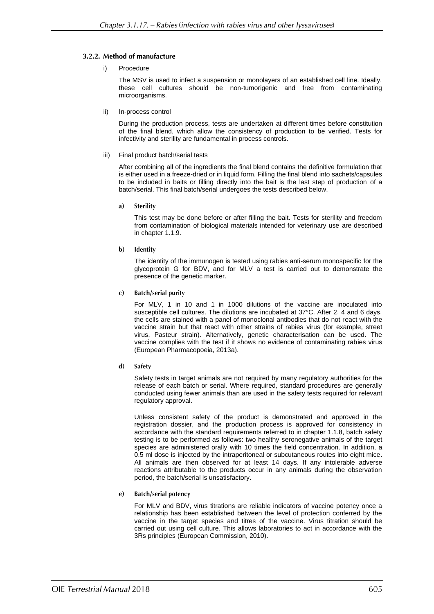# 3.2.2. Method of manufacture

### i) Procedure

The MSV is used to infect a suspension or monolayers of an established cell line. Ideally, these cell cultures should be non-tumorigenic and free from contaminating microorganisms.

ii) In-process control

During the production process, tests are undertaken at different times before constitution of the final blend, which allow the consistency of production to be verified. Tests for infectivity and sterility are fundamental in process controls.

### iii) Final product batch/serial tests

After combining all of the ingredients the final blend contains the definitive formulation that is either used in a freeze-dried or in liquid form. Filling the final blend into sachets/capsules to be included in baits or filling directly into the bait is the last step of production of a batch/serial. This final batch/serial undergoes the tests described below.

 $a)$ **Sterility** 

> This test may be done before or after filling the bait. Tests for sterility and freedom from contamination of biological materials intended for veterinary use are described in chapter 1.1.9.

 $\mathbf{b}$ Identity

> The identity of the immunogen is tested using rabies anti-serum monospecific for the glycoprotein G for BDV, and for MLV a test is carried out to demonstrate the presence of the genetic marker.

**Batch/serial purity**  $\mathbf{c}$ )

> For MLV, 1 in 10 and 1 in 1000 dilutions of the vaccine are inoculated into susceptible cell cultures. The dilutions are incubated at 37°C. After 2, 4 and 6 days, the cells are stained with a panel of monoclonal antibodies that do not react with the vaccine strain but that react with other strains of rabies virus (for example, street virus, Pasteur strain). Alternatively, genetic characterisation can be used. The vaccine complies with the test if it shows no evidence of contaminating rabies virus (European Pharmacopoeia, 2013a).

Safety  $\mathbf{d}$ 

> Safety tests in target animals are not required by many regulatory authorities for the release of each batch or serial. Where required, standard procedures are generally conducted using fewer animals than are used in the safety tests required for relevant regulatory approval.

> Unless consistent safety of the product is demonstrated and approved in the registration dossier, and the production process is approved for consistency in accordance with the standard requirements referred to in chapter 1.1.8, batch safety testing is to be performed as follows: two healthy seronegative animals of the target species are administered orally with 10 times the field concentration. In addition, a 0.5 ml dose is injected by the intraperitoneal or subcutaneous routes into eight mice. All animals are then observed for at least 14 days. If any intolerable adverse reactions attributable to the products occur in any animals during the observation period, the batch/serial is unsatisfactory.

**Batch/serial potency**  $\epsilon$ )

> For MLV and BDV, virus titrations are reliable indicators of vaccine potency once a relationship has been established between the level of protection conferred by the vaccine in the target species and titres of the vaccine. Virus titration should be carried out using cell culture. This allows laboratories to act in accordance with the 3Rs principles (European Commission, 2010).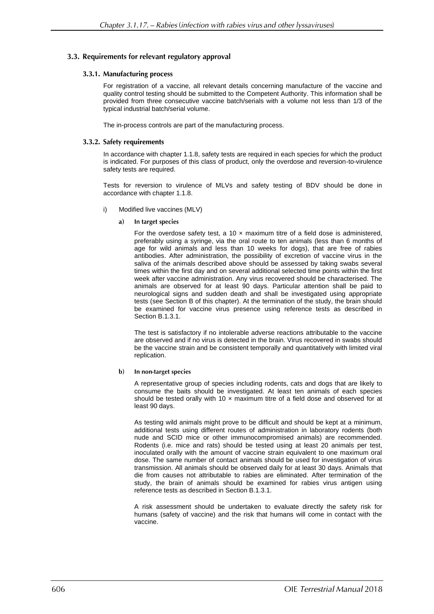# 3.3. Requirements for relevant regulatory approval

### 3.3.1. Manufacturing process

For registration of a vaccine, all relevant details concerning manufacture of the vaccine and quality control testing should be submitted to the Competent Authority. This information shall be provided from three consecutive vaccine batch/serials with a volume not less than 1/3 of the typical industrial batch/serial volume.

The in-process controls are part of the manufacturing process.

### 3.3.2. Safety requirements

In accordance with chapter 1.1.8, safety tests are required in each species for which the product is indicated. For purposes of this class of product, only the overdose and reversion-to-virulence safety tests are required.

Tests for reversion to virulence of MLVs and safety testing of BDV should be done in accordance with chapter 1.1.8.

- i) Modified live vaccines (MLV)
	- In target species  $\mathbf{a}$

For the overdose safety test, a 10  $\times$  maximum titre of a field dose is administered, preferably using a syringe, via the oral route to ten animals (less than 6 months of age for wild animals and less than 10 weeks for dogs), that are free of rabies antibodies. After administration, the possibility of excretion of vaccine virus in the saliva of the animals described above should be assessed by taking swabs several times within the first day and on several additional selected time points within the first week after vaccine administration. Any virus recovered should be characterised. The animals are observed for at least 90 days. Particular attention shall be paid to neurological signs and sudden death and shall be investigated using appropriate tests (see Section B of this chapter). At the termination of the study, the brain should be examined for vaccine virus presence using reference tests as described in Section B.1.3.1.

The test is satisfactory if no intolerable adverse reactions attributable to the vaccine are observed and if no virus is detected in the brain. Virus recovered in swabs should be the vaccine strain and be consistent temporally and quantitatively with limited viral replication.

#### $h$ ) In non-target species

A representative group of species including rodents, cats and dogs that are likely to consume the baits should be investigated. At least ten animals of each species should be tested orally with 10  $\times$  maximum titre of a field dose and observed for at least 90 days.

As testing wild animals might prove to be difficult and should be kept at a minimum, additional tests using different routes of administration in laboratory rodents (both nude and SCID mice or other immunocompromised animals) are recommended. Rodents (i.e. mice and rats) should be tested using at least 20 animals per test, inoculated orally with the amount of vaccine strain equivalent to one maximum oral dose. The same number of contact animals should be used for investigation of virus transmission. All animals should be observed daily for at least 30 days. Animals that die from causes not attributable to rabies are eliminated. After termination of the study, the brain of animals should be examined for rabies virus antigen using reference tests as described in Section B.1.3.1.

A risk assessment should be undertaken to evaluate directly the safety risk for humans (safety of vaccine) and the risk that humans will come in contact with the vaccine.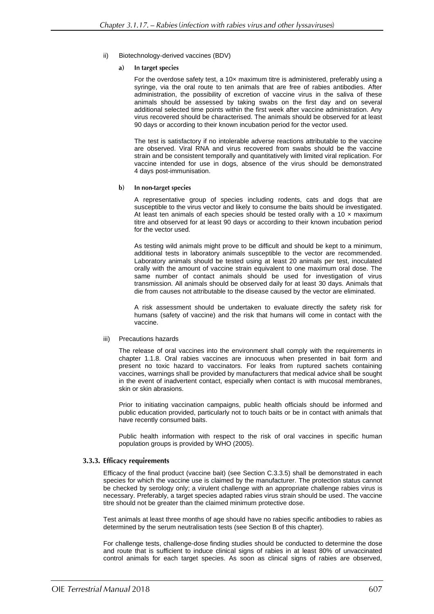- ii) Biotechnology-derived vaccines (BDV)
	- In target species a)

For the overdose safety test, a  $10\times$  maximum titre is administered, preferably using a syringe, via the oral route to ten animals that are free of rabies antibodies. After administration, the possibility of excretion of vaccine virus in the saliva of these animals should be assessed by taking swabs on the first day and on several additional selected time points within the first week after vaccine administration. Any virus recovered should be characterised. The animals should be observed for at least 90 days or according to their known incubation period for the vector used.

The test is satisfactory if no intolerable adverse reactions attributable to the vaccine are observed. Viral RNA and virus recovered from swabs should be the vaccine strain and be consistent temporally and quantitatively with limited viral replication. For vaccine intended for use in dogs, absence of the virus should be demonstrated 4 days post-immunisation.

### b) In non-target species

A representative group of species including rodents, cats and dogs that are susceptible to the virus vector and likely to consume the baits should be investigated. At least ten animals of each species should be tested orally with a 10  $\times$  maximum titre and observed for at least 90 days or according to their known incubation period for the vector used.

As testing wild animals might prove to be difficult and should be kept to a minimum, additional tests in laboratory animals susceptible to the vector are recommended. Laboratory animals should be tested using at least 20 animals per test, inoculated orally with the amount of vaccine strain equivalent to one maximum oral dose. The same number of contact animals should be used for investigation of virus transmission. All animals should be observed daily for at least 30 days. Animals that die from causes not attributable to the disease caused by the vector are eliminated.

A risk assessment should be undertaken to evaluate directly the safety risk for humans (safety of vaccine) and the risk that humans will come in contact with the vaccine.

### iii) Precautions hazards

The release of oral vaccines into the environment shall comply with the requirements in chapter 1.1.8. Oral rabies vaccines are innocuous when presented in bait form and present no toxic hazard to vaccinators. For leaks from ruptured sachets containing vaccines, warnings shall be provided by manufacturers that medical advice shall be sought in the event of inadvertent contact, especially when contact is with mucosal membranes, skin or skin abrasions.

Prior to initiating vaccination campaigns, public health officials should be informed and public education provided, particularly not to touch baits or be in contact with animals that have recently consumed baits.

Public health information with respect to the risk of oral vaccines in specific human population groups is provided by WHO (2005).

### 3.3.3. Efficacy requirements

Efficacy of the final product (vaccine bait) (see Section C.3.3.5) shall be demonstrated in each species for which the vaccine use is claimed by the manufacturer. The protection status cannot be checked by serology only; a virulent challenge with an appropriate challenge rabies virus is necessary. Preferably, a target species adapted rabies virus strain should be used. The vaccine titre should not be greater than the claimed minimum protective dose.

Test animals at least three months of age should have no rabies specific antibodies to rabies as determined by the serum neutralisation tests (see Section B of this chapter).

For challenge tests, challenge-dose finding studies should be conducted to determine the dose and route that is sufficient to induce clinical signs of rabies in at least 80% of unvaccinated control animals for each target species. As soon as clinical signs of rabies are observed,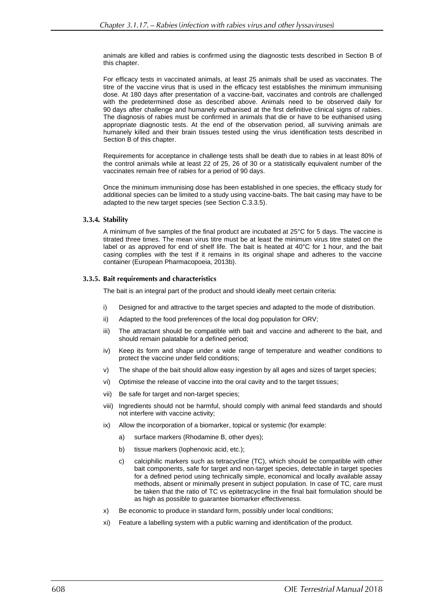animals are killed and rabies is confirmed using the diagnostic tests described in Section B of this chapter.

For efficacy tests in vaccinated animals, at least 25 animals shall be used as vaccinates. The titre of the vaccine virus that is used in the efficacy test establishes the minimum immunising dose. At 180 days after presentation of a vaccine-bait, vaccinates and controls are challenged with the predetermined dose as described above. Animals need to be observed daily for 90 days after challenge and humanely euthanised at the first definitive clinical signs of rabies. The diagnosis of rabies must be confirmed in animals that die or have to be euthanised using appropriate diagnostic tests. At the end of the observation period, all surviving animals are humanely killed and their brain tissues tested using the virus identification tests described in Section B of this chapter.

Requirements for acceptance in challenge tests shall be death due to rabies in at least 80% of the control animals while at least 22 of 25, 26 of 30 or a statistically equivalent number of the vaccinates remain free of rabies for a period of 90 days.

Once the minimum immunising dose has been established in one species, the efficacy study for additional species can be limited to a study using vaccine-baits. The bait casing may have to be adapted to the new target species (see Section C.3.3.5).

### 3.3.4. Stability

A minimum of five samples of the final product are incubated at 25°C for 5 days. The vaccine is titrated three times. The mean virus titre must be at least the minimum virus titre stated on the label or as approved for end of shelf life. The bait is heated at 40°C for 1 hour, and the bait casing complies with the test if it remains in its original shape and adheres to the vaccine container (European Pharmacopoeia, 2013b).

# 3.3.5. Bait requirements and characteristics

The bait is an integral part of the product and should ideally meet certain criteria:

- i) Designed for and attractive to the target species and adapted to the mode of distribution.
- ii) Adapted to the food preferences of the local dog population for ORV;
- iii) The attractant should be compatible with bait and vaccine and adherent to the bait, and should remain palatable for a defined period;
- iv) Keep its form and shape under a wide range of temperature and weather conditions to protect the vaccine under field conditions;
- v) The shape of the bait should allow easy ingestion by all ages and sizes of target species;
- vi) Optimise the release of vaccine into the oral cavity and to the target tissues;
- vii) Be safe for target and non-target species;
- viii) Ingredients should not be harmful, should comply with animal feed standards and should not interfere with vaccine activity;
- ix) Allow the incorporation of a biomarker, topical or systemic (for example:
	- a) surface markers (Rhodamine B, other dyes);
	- b) tissue markers (Iophenoxic acid, etc.);
	- c) calciphilic markers such as tetracycline (TC), which should be compatible with other bait components, safe for target and non-target species, detectable in target species for a defined period using technically simple, economical and locally available assay methods, absent or minimally present in subject population. In case of TC, care must be taken that the ratio of TC vs epitetracycline in the final bait formulation should be as high as possible to guarantee biomarker effectiveness.
- x) Be economic to produce in standard form, possibly under local conditions;
- xi) Feature a labelling system with a public warning and identification of the product.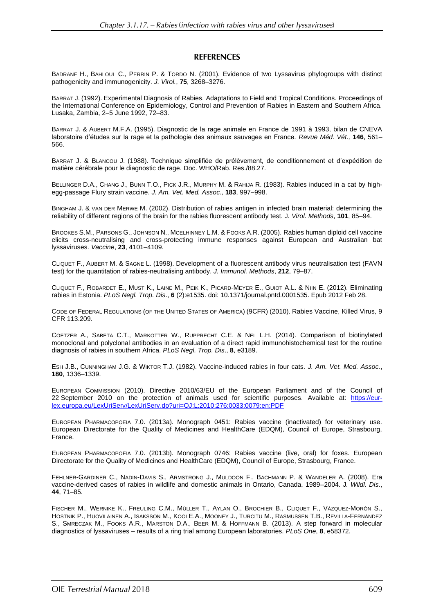# **REFERENCES**

[B](http://www.ncbi.nlm.nih.gov/entrez/query.fcgi?db=pubmed&cmd=Search&itool=pubmed_Abstract&term=%22Badrane+H%22%5BAuthor%5D)[ADRANE](http://www.ncbi.nlm.nih.gov/entrez/query.fcgi?db=pubmed&cmd=Search&itool=pubmed_Abstract&term=%22Badrane+H%22%5BAuthor%5D) [H.](http://www.ncbi.nlm.nih.gov/entrez/query.fcgi?db=pubmed&cmd=Search&itool=pubmed_Abstract&term=%22Badrane+H%22%5BAuthor%5D), [B](http://www.ncbi.nlm.nih.gov/entrez/query.fcgi?db=pubmed&cmd=Search&itool=pubmed_Abstract&term=%22Bahloul+C%22%5BAuthor%5D)[AHLOUL](http://www.ncbi.nlm.nih.gov/entrez/query.fcgi?db=pubmed&cmd=Search&itool=pubmed_Abstract&term=%22Bahloul+C%22%5BAuthor%5D) [C.](http://www.ncbi.nlm.nih.gov/entrez/query.fcgi?db=pubmed&cmd=Search&itool=pubmed_Abstract&term=%22Bahloul+C%22%5BAuthor%5D), [P](http://www.ncbi.nlm.nih.gov/entrez/query.fcgi?db=pubmed&cmd=Search&itool=pubmed_Abstract&term=%22Perrin+P%22%5BAuthor%5D)[ERRIN](http://www.ncbi.nlm.nih.gov/entrez/query.fcgi?db=pubmed&cmd=Search&itool=pubmed_Abstract&term=%22Perrin+P%22%5BAuthor%5D) [P.](http://www.ncbi.nlm.nih.gov/entrez/query.fcgi?db=pubmed&cmd=Search&itool=pubmed_Abstract&term=%22Perrin+P%22%5BAuthor%5D) & T[ORDO](http://www.ncbi.nlm.nih.gov/entrez/query.fcgi?db=pubmed&cmd=Search&itool=pubmed_Abstract&term=%22Tordo+N%22%5BAuthor%5D) [N.](http://www.ncbi.nlm.nih.gov/entrez/query.fcgi?db=pubmed&cmd=Search&itool=pubmed_Abstract&term=%22Tordo+N%22%5BAuthor%5D) (2001). Evidence of two Lyssavirus phylogroups with distinct pathogenicity and immunogenicity. *J. Virol.*, **75**, 3268–3276.

BARRAT J. (1992). Experimental Diagnosis of Rabies. Adaptations to Field and Tropical Conditions. Proceedings of the International Conference on Epidemiology, Control and Prevention of Rabies in Eastern and Southern Africa. Lusaka, Zambia, 2–5 June 1992, 72–83.

BARRAT J. & AUBERT M.F.A. (1995). Diagnostic de la rage animale en France de 1991 à 1993, bilan de CNEVA laboratoire d'études sur la rage et la pathologie des animaux sauvages en France. *Revue Méd. Vét.,* **146**, 561– 566.

BARRAT J. & BLANCOU J. (1988). Technique simplifiée de prélèvement, de conditionnement et d'expédition de matière cérébrale pour le diagnostic de rage. Doc. WHO/Rab. Res./88.27.

BELLINGER D.A., CHANG J., BUNN T.O., PICK J.R., MURPHY M. & RAHIJA R. (1983). Rabies induced in a cat by highegg-passage Flury strain vaccine. *J. Am. Vet. Med. Assoc*., **183**, 997–998.

BINGHAM J. & VAN DER MERWE M. (2002). Distribution of rabies antigen in infected brain material: determining the reliability of different regions of the brain for the rabies fluorescent antibody test. J*. Virol. Methods*, **101**, 85–94.

BROOKES S.M., PARSONS G., JOHNSON N., MCELHINNEY L.M. & FOOKS A.R. (2005). Rabies human diploid cell vaccine elicits cross-neutralising and cross-protecting immune responses against European and Australian bat lyssaviruses. *Vaccine*, **23**, 4101–4109.

CLIQUET F., AUBERT M. & SAGNE L. (1998). Development of a fluorescent antibody virus neutralisation test (FAVN test) for the quantitation of rabies-neutralising antibody. *J. Immunol. Methods*, **212**, 79–87.

CLIQUET F., ROBARDET E., MUST K., LAINE M., PEIK K., PICARD-MEYER E., GUIOT A.L. & NIIN E. (2012). Eliminating rabies in Estonia. *PLoS Negl. Trop. Dis*., **6** (2):e1535. doi: 10.1371/journal.pntd.0001535. Epub 2012 Feb 28.

CODE OF FEDERAL REGULATIONS (OF THE UNITED STATES OF AMERICA) (9CFR) (2010). Rabies Vaccine, Killed Virus, 9 CFR 113.209.

COETZER A., SABETA C.T., MARKOTTER W., RUPPRECHT C.E. & NEL L.H. (2014). Comparison of biotinylated monoclonal and polyclonal antibodies in an evaluation of a direct rapid immunohistochemical test for the routine diagnosis of rabies in southern Africa. *PLoS Negl. Trop. Dis*., **8**, e3189.

ESH J.B., CUNNINGHAM J.G. & WIKTOR T.J. (1982). Vaccine-induced rabies in four cats. *J. Am. Vet. Med. Assoc*., **180**, 1336–1339.

EUROPEAN COMMISSION (2010). Directive 2010/63/EU of the European Parliament and of the Council of 22 September 2010 on the protection of animals used for scientific purposes. Available at: [https://eur](https://eur-lex.europa.eu/LexUriServ/LexUriServ.do?uri=OJ:L:2010:276:0033:0079:en:PDF)[lex.europa.eu/LexUriServ/LexUriServ.do?uri=OJ:L:2010:276:0033:0079:en:PDF](https://eur-lex.europa.eu/LexUriServ/LexUriServ.do?uri=OJ:L:2010:276:0033:0079:en:PDF)

EUROPEAN PHARMACOPOEIA 7.0. (2013a). Monograph 0451: Rabies vaccine (inactivated) for veterinary use. European Directorate for the Quality of Medicines and HealthCare (EDQM), Council of Europe, Strasbourg, France.

EUROPEAN PHARMACOPOEIA 7.0. (2013b). Monograph 0746: Rabies vaccine (live, oral) for foxes. European Directorate for the Quality of Medicines and HealthCare (EDQM), Council of Europe, Strasbourg, France.

FEHLNER-GARDINER C., NADIN-DAVIS S., ARMSTRONG J., MULDOON F., BACHMANN P. & WANDELER A. (2008). Era vaccine-derived cases of rabies in wildlife and domestic animals in Ontario, Canada, 1989–2004. J*. Wildl. Dis*., **44**, 71–85.

FISCHER M., WERNIKE K., FREULING C.M., MÜLLER T., AYLAN O., BROCHIER B., CLIQUET F., VÁZQUEZ-MORÓN S., HOSTNIK P., HUOVILAINEN A., ISAKSSON M., KOOI E.A., MOONEY J., TURCITU M., RASMUSSEN T.B., REVILLA-FERNÁNDEZ S., SMRECZAK M., FOOKS A.R., MARSTON D.A., BEER M. & HOFFMANN B. (2013). A step forward in molecular diagnostics of lyssaviruses – results of a ring trial among European laboratories. *PLoS One*, **8**, e58372.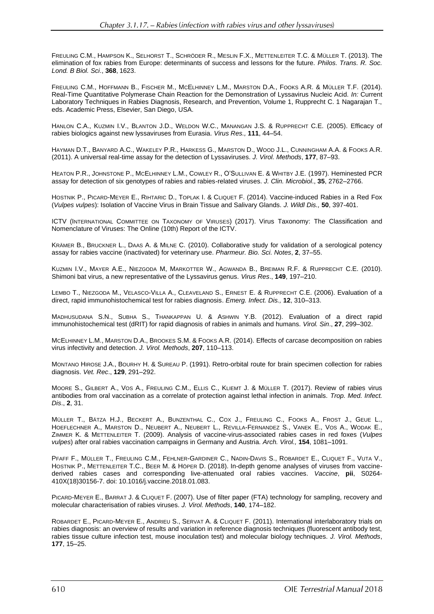FREULING C.M., HAMPSON K., SELHORST T., SCHRÖDER R., MESLIN F.X., METTENLEITER T.C. & MÜLLER T. (2013). The elimination of fox rabies from Europe: determinants of success and lessons for the future. *Philos. Trans. R. Soc. Lond. B Biol. Sci*., **368**, 1623.

FREULING C.M., HOFFMANN B., FISCHER M., MCELHINNEY L.M., MARSTON D.A., FOOKS A.R. & MÜLLER T.F. (2014). Real-Time Quantitative Polymerase Chain Reaction for the Demonstration of Lyssavirus Nucleic Acid. *In:* Current Laboratory Techniques in Rabies Diagnosis, Research, and Prevention, Volume 1, Rupprecht C. 1 Nagarajan T., eds. Academic Press, Elsevier, San Diego, USA.

HANLON C.A., KUZMIN I.V., BLANTON J.D., WELDON W.C., MANANGAN J.S. & RUPPRECHT C.E. (2005). Efficacy of rabies biologics against new lyssaviruses from Eurasia. *Virus Res.,* **111**, 44–54.

HAYMAN D.T., BANYARD A.C., WAKELEY P.R., HARKESS G., MARSTON D., WOOD J.L., CUNNINGHAM A.A. & FOOKS A.R. (2011). A universal real-time assay for the detection of Lyssaviruses. *J. Virol. Methods*, **177**, 87–93.

HEATON P.R., JOHNSTONE P., MCELHINNEY L.M., COWLEY R., O'SULLIVAN E. & WHITBY J.E. (1997). Heminested PCR assay for detection of six genotypes of rabies and rabies-related viruses. *J. Clin. Microbiol*., **35**, 2762–2766.

HOSTNIK P., PICARD-MEYER E., RIHTARIC D., TOPLAK I. & CLIQUET F. (2014). Vaccine-induced Rabies in a Red Fox (*Vulpes vulpes*): Isolation of Vaccine Virus in Brain Tissue and Salivary Glands. *J. Wildl Dis.,* **50**, 397-401.

ICTV (INTERNATIONAL COMMITTEE ON TAXONOMY OF VIRUSES) (2017). Virus Taxonomy: The Classification and Nomenclature of Viruses: The Online (10th) Report of the ICTV.

KRÄMER B., BRUCKNER L., DAAS A. & MILNE C. (2010). Collaborative study for validation of a serological potency assay for rabies vaccine (inactivated) for veterinary use. *Pharmeur. Bio. Sci. Notes*, **2**, 37–55.

KUZMIN I.V., MAYER A.E., NIEZGODA M, MARKOTTER W., AGWANDA B., BREIMAN R.F. & RUPPRECHT C.E. (2010). Shimoni bat virus, a new representative of the Lyssavirus genus. *Virus Res*., **149**, 197–210.

LEMBO T., NIEZGODA M., VELASCO-VILLA A., CLEAVELAND S., ERNEST E. & RUPPRECHT C.E. (2006). Evaluation of a direct, rapid immunohistochemical test for rabies diagnosis. *Emerg. Infect. Dis.,* **12**, 310–313.

MADHUSUDANA S.N., SUBHA S., THANKAPPAN U. & ASHWIN Y.B. (2012). Evaluation of a direct rapid immunohistochemical test (dRIT) for rapid diagnosis of rabies in animals and humans. *Virol. Sin*., **27**, 299–302.

MCELHINNEY L.M., MARSTON D.A., BROOKES S.M. & FOOKS A.R. (2014). Effects of carcase decomposition on rabies virus infectivity and detection. *J. Virol. Methods*, **207**, 110–113.

MONTANO HIROSE J.A., BOURHY H. & SUREAU P. (1991). Retro-orbital route for brain specimen collection for rabies diagnosis. *Vet. Rec*., **129**, 291–292.

MOORE S., GILBERT A., VOS A., FREULING C.M., ELLIS C., KLIEMT J. & MÜLLER T. (2017). Review of rabies virus antibodies from oral vaccination as a correlate of protection against lethal infection in animals. *Trop. Med. Infect. Dis*., **2**, 31.

MÜLLER T., BÄTZA H.J., BECKERT A., BUNZENTHAL C., COX J., FREULING C., FOOKS A., FROST J., GEUE L., HOEFLECHNER A., MARSTON D., NEUBERT A., NEUBERT L., REVILLA-FERNANDEZ S., VANEK E., VOS A., WODAK E., ZIMMER K. & METTENLEITER T. (2009). Analysis of vaccine-virus-associated rabies cases in red foxes (*Vulpes vulpes*) after oral rabies vaccination campaigns in Germany and Austria. *Arch. Virol.,* **154**, 1081–1091.

PFAFF F., MÜLLER T., FREULING C.M., FEHLNER-GARDINER C., NADIN-DAVIS S., ROBARDET E., CLIQUET F., VUTA V., HOSTNIK P., METTENLEITER T.C., BEER M. & HÖPER D. (2018). In-depth genome analyses of viruses from vaccinederived rabies cases and corresponding live-attenuated oral rabies vaccines. *Vaccine*, **pii**, S0264- 410X(18)30156-7. doi: 10.1016/j.vaccine.2018.01.083.

PICARD-MEYER E., BARRAT J. & CLIQUET F. (2007). Use of filter paper (FTA) technology for sampling, recovery and molecular characterisation of rabies viruses. *J. Virol. Methods*, **140**, 174–182.

ROBARDET E., PICARD-MEYER E., ANDRIEU S., SERVAT A. & CLIQUET F. (2011). International interlaboratory trials on rabies diagnosis: an overview of results and variation in reference diagnosis techniques (fluorescent antibody test, rabies tissue culture infection test, mouse inoculation test) and molecular biology techniques. *J. Virol. Methods*, **177**, 15–25.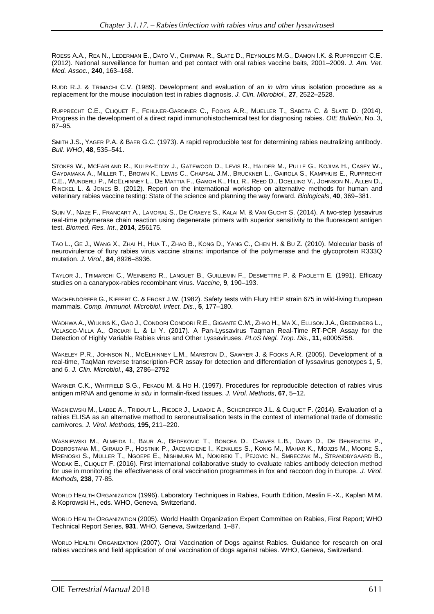ROESS A.A., REA N., LEDERMAN E., DATO V., CHIPMAN R., SLATE D., REYNOLDS M.G., DAMON I.K. & RUPPRECHT C.E. (2012). National surveillance for human and pet contact with oral rabies vaccine baits, 2001–2009. *J. Am. Vet. Med. Assoc.*, **240**, 163–168.

RUDD R.J. & TRIMACHI C.V. (1989). Development and evaluation of an *in vitro* virus isolation procedure as a replacement for the mouse inoculation test in rabies diagnosis. *J. Clin. Microbiol*., **27**, 2522–2528.

RUPPRECHT C.E., CLIQUET F., FEHLNER-GARDINER C., FOOKS A.R., MUELLER T., SABETA C. & SLATE D. (2014). Progress in the development of a direct rapid immunohistochemical test for diagnosing rabies. *OIE Bulletin*, No. 3, 87–95.

SMITH J.S., YAGER P.A. & BAER G.C. (1973). A rapid reproducible test for determining rabies neutralizing antibody. *Bull. WHO*, **48**, 535–541.

STOKES W., MCFARLAND R., KULPA-EDDY J., GATEWOOD D., LEVIS R., HALDER M., PULLE G., KOJIMA H., CASEY W., GAYDAMAKA A., MILLER T., BROWN K., LEWIS C., CHAPSAL J.M., BRUCKNER L., GAIROLA S., KAMPHUIS E., RUPPRECHT C.E., WUNDERLI P., MCELHINNEY L., DE MATTIA F., GAMOH K., HILL R., REED D., DOELLING V., JOHNSON N., ALLEN D., RINCKEL L. & JONES B. (2012). Report on the international workshop on alternative methods for human and veterinary rabies vaccine testing: State of the science and planning the way forward. *Biologicals*, **40**, 369–381.

SUIN V., NAZE F., FRANCART A., LAMORAL S., DE CRAEYE S., KALAI M. & VAN GUCHT S. (2014). A two-step lyssavirus real-time polymerase chain reaction using degenerate primers with superior sensitivity to the fluorescent antigen test. *Biomed. Res. Int*., **2014**, 256175.

TAO L., GE J., WANG X., ZHAI H., HUA T., ZHAO B., KONG D., YANG C., CHEN H. & BU Z. (2010). Molecular basis of neurovirulence of flury rabies virus vaccine strains: importance of the polymerase and the glycoprotein R333Q mutation. *J. Virol*., **84**, 8926–8936.

TAYLOR J., TRIMARCHI C., WEINBERG R., LANGUET B., GUILLEMIN F., DESMETTRE P. & PAOLETTI E. (1991). Efficacy studies on a canarypox-rabies recombinant virus. *Vaccine*, **9**, 190–193.

WACHENDÖRFER G., KIEFERT C. & FROST J.W. (1982). Safety tests with Flury HEP strain 675 in wild-living European mammals. *Comp. Immunol. Microbiol. Infect. Dis*., **5**, 177–180.

WADHWA A., WILKINS K., GAO J., CONDORI CONDORI R.E., GIGANTE C.M., ZHAO H., MA X., ELLISON J.A., GREENBERG L., VELASCO-VILLA A., ORCIARI L. & LI Y. (2017). A Pan-Lyssavirus Taqman Real-Time RT-PCR Assay for the Detection of Highly Variable Rabies virus and Other Lyssaviruses. *PLoS Negl. Trop. Dis*., **11**, e0005258.

WAKELEY P.R., JOHNSON N., MCELHINNEY L.M., MARSTON D., SAWYER J. & FOOKS A.R. (2005). Development of a real-time, TaqMan reverse transcription-PCR assay for detection and differentiation of lyssavirus genotypes 1, 5, and 6. *J. Clin. Microbiol*., **43**, 2786–2792

WARNER C.K., WHITFIELD S.G., FEKADU M. & HO H. (1997). Procedures for reproducible detection of rabies virus antigen mRNA and genome *in situ* in formalin-fixed tissues. *J. Virol. Methods*, **67**, 5–12.

WASNIEWSKI M., LABBE A., TRIBOUT L., RIEDER J., LABADIE A., SCHEREFFER J.L. & CLIQUET F. (2014). Evaluation of a rabies ELISA as an alternative method to seroneutralisation tests in the context of international trade of domestic carnivores. *J. Virol. Methods,* **195**, 211–220.

WASNIEWSKI M., ALMEIDA I., BAUR A., BEDEKOVIC T., BONCEA D., CHAVES L.B., DAVID D., DE BENEDICTIS P., DOBROSTANA M., GIRAUD P., HOSTNIK P., JACEVICIENE I., KENKLIES S., KONIG M., MAHAR K., MOJZIS M., MOORE S., MRENOSKI S., MÜLLER T., NGOEPE E., NISHIMURA M., NOKIREKI T., PEJOVIC N., SMRECZAK M., STRANDBYGAARD B., WODAK E., CLIQUET F. (2016). First international collaborative study to evaluate rabies antibody detection method for use in monitoring the effectiveness of oral vaccination programmes in fox and raccoon dog in Europe. *J. Virol. Methods,* **238**, 77-85.

WORLD HEALTH ORGANIZATION (1996). Laboratory Techniques in Rabies, Fourth Edition, Meslin F.-X., Kaplan M.M. & Koprowski H., eds. WHO, Geneva, Switzerland.

WORLD HEALTH ORGANIZATION (2005). World Health Organization Expert Committee on Rabies, First Report; WHO Technical Report Series, **931**. WHO, Geneva, Switzerland, 1–87.

WORLD HEALTH ORGANIZATION (2007). Oral Vaccination of Dogs against Rabies. Guidance for research on oral rabies vaccines and field application of oral vaccination of dogs against rabies. WHO, Geneva, Switzerland.